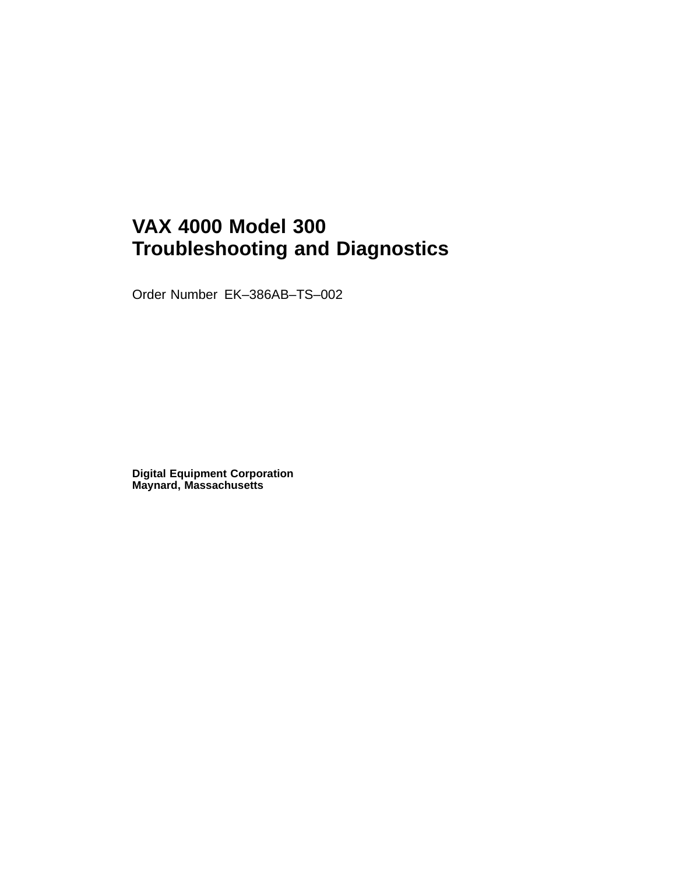# **VAX 4000 Model 300 Troubleshooting and Diagnostics**

Order Number EK–386AB–TS–002

**Digital Equipment Corporation Maynard, Massachusetts**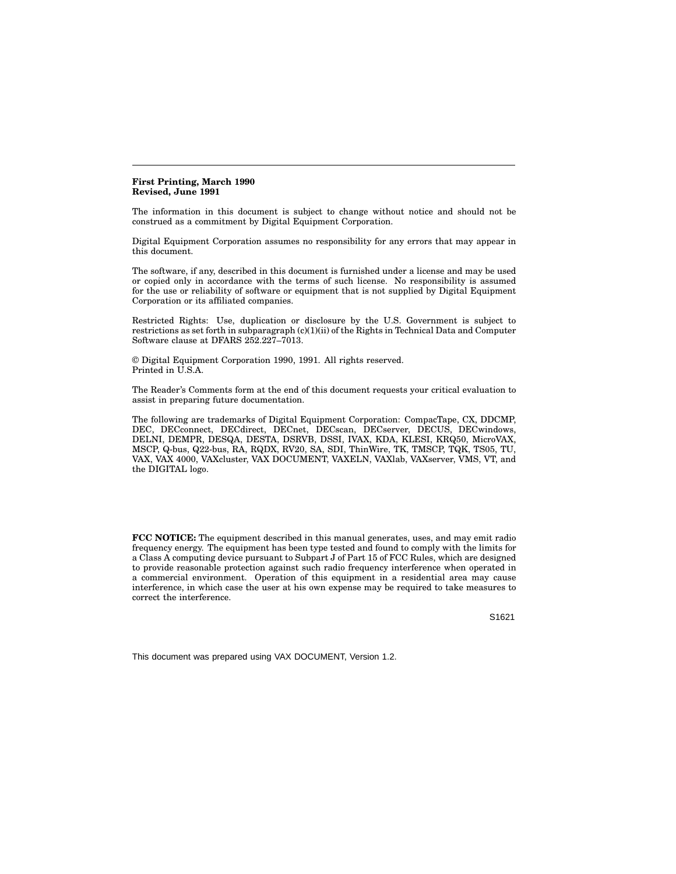**First Printing, March 1990 Revised, June 1991**

The information in this document is subject to change without notice and should not be construed as a commitment by Digital Equipment Corporation.

Digital Equipment Corporation assumes no responsibility for any errors that may appear in this document.

The software, if any, described in this document is furnished under a license and may be used or copied only in accordance with the terms of such license. No responsibility is assumed for the use or reliability of software or equipment that is not supplied by Digital Equipment Corporation or its affiliated companies.

Restricted Rights: Use, duplication or disclosure by the U.S. Government is subject to restrictions as set forth in subparagraph (c)(1)(ii) of the Rights in Technical Data and Computer Software clause at DFARS 252.227–7013.

© Digital Equipment Corporation 1990, 1991. All rights reserved. Printed in U.S.A.

The Reader's Comments form at the end of this document requests your critical evaluation to assist in preparing future documentation.

The following are trademarks of Digital Equipment Corporation: CompacTape, CX, DDCMP, DEC, DECconnect, DECdirect, DECnet, DECscan, DECserver, DECUS, DECwindows, DELNI, DEMPR, DESQA, DESTA, DSRVB, DSSI, IVAX, KDA, KLESI, KRQ50, MicroVAX, MSCP, Q-bus, Q22-bus, RA, RQDX, RV20, SA, SDI, ThinWire, TK, TMSCP, TQK, TS05, TU, VAX, VAX 4000, VAXcluster, VAX DOCUMENT, VAXELN, VAXlab, VAXserver, VMS, VT, and the DIGITAL logo.

**FCC NOTICE:** The equipment described in this manual generates, uses, and may emit radio frequency energy. The equipment has been type tested and found to comply with the limits for a Class A computing device pursuant to Subpart J of Part 15 of FCC Rules, which are designed to provide reasonable protection against such radio frequency interference when operated in a commercial environment. Operation of this equipment in a residential area may cause interference, in which case the user at his own expense may be required to take measures to correct the interference.

S1621

This document was prepared using VAX DOCUMENT, Version 1.2.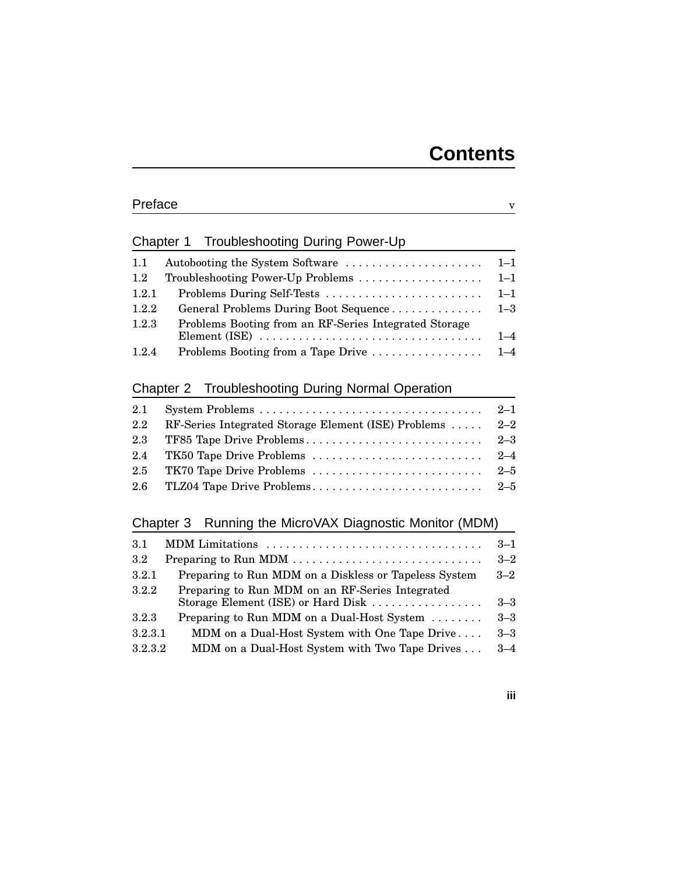# Preface v

## Chapter 1 Troubleshooting During Power-Up

| 1.1   |                                                                                                                                                           |  |
|-------|-----------------------------------------------------------------------------------------------------------------------------------------------------------|--|
| 1.2   |                                                                                                                                                           |  |
| 1.2.1 |                                                                                                                                                           |  |
| 1.2.2 |                                                                                                                                                           |  |
| 1.2.3 | Problems Booting from an RF-Series Integrated Storage<br>Element (ISE) $\ldots \ldots \ldots \ldots \ldots \ldots \ldots \ldots \ldots \ldots \ldots 1-4$ |  |
| 1.2.4 |                                                                                                                                                           |  |

### Chapter 2 Troubleshooting During Normal Operation

| 2.1              |                                                          |  |
|------------------|----------------------------------------------------------|--|
| $2.2\phantom{0}$ | RF-Series Integrated Storage Element (ISE) Problems  2-2 |  |
|                  |                                                          |  |
|                  |                                                          |  |
|                  |                                                          |  |
|                  |                                                          |  |

### Chapter 3 Running the MicroVAX Diagnostic Monitor (MDM)

| 3.1     | MDM Limitations                                                  | $3 - 1$ |  |  |
|---------|------------------------------------------------------------------|---------|--|--|
| $3.2\,$ |                                                                  |         |  |  |
| 3.2.1   | Preparing to Run MDM on a Diskless or Tapeless System<br>$3 - 2$ |         |  |  |
| 3.2.2   | Preparing to Run MDM on an RF-Series Integrated                  |         |  |  |
|         | Storage Element (ISE) or Hard Disk $\ldots$                      | $3 - 3$ |  |  |
| 3.2.3   | Preparing to Run MDM on a Dual-Host System                       | $3 - 3$ |  |  |
| 3.2.3.1 | MDM on a Dual-Host System with One Tape Drive                    | $3 - 3$ |  |  |
| 3.2.3.2 | MDM on a Dual-Host System with Two Tape Drives                   | $3 - 4$ |  |  |

**iii**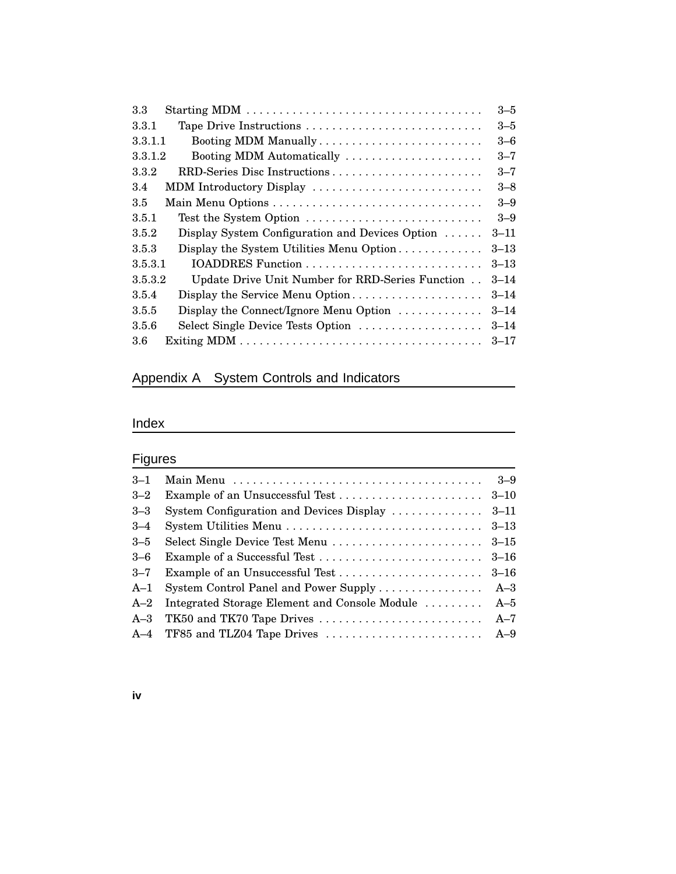| 3.3                                                         | $3 - 5$  |
|-------------------------------------------------------------|----------|
| 3.3.1<br>Tape Drive Instructions                            | $3 - 5$  |
| 3.3.1.1<br>Booting MDM Manually                             | $3 - 6$  |
| 3.3.1.2<br>Booting MDM Automatically                        | $3 - 7$  |
| 3.3.2                                                       | $3 - 7$  |
| MDM Introductory Display<br>3.4                             | $3 - 8$  |
| 3.5                                                         | $3 - 9$  |
| 3.5.1<br>Test the System Option                             | $3 - 9$  |
| 3.5.2<br>Display System Configuration and Devices Option    | $3 - 11$ |
| Display the System Utilities Menu Option<br>3.5.3           | $3 - 13$ |
| 3.5.3.1                                                     | $3 - 13$ |
| 3.5.3.2<br>Update Drive Unit Number for RRD-Series Function | $3 - 14$ |
| Display the Service Menu Option<br>3.5.4                    | $3 - 14$ |
| Display the Connect/Ignore Menu Option<br>3.5.5             | $3 - 14$ |
| Select Single Device Tests Option<br>3.5.6                  | $3 - 14$ |
| $3.6\,$                                                     | $3 - 17$ |

# Appendix A System Controls and Indicators

# Index

# **Figures**

| $3 - 1$ |                                                                                          |          |
|---------|------------------------------------------------------------------------------------------|----------|
| $3 - 2$ |                                                                                          |          |
| $3 - 3$ | System Configuration and Devices Display                                                 | $3 - 11$ |
| $3 - 4$ | System Utilities Menu $\dots \dots \dots \dots \dots \dots \dots \dots \dots \dots$ 3-13 |          |
| $3 - 5$ |                                                                                          |          |
| $3-6$   |                                                                                          | $3 - 16$ |
| $3 - 7$ |                                                                                          | $3 - 16$ |
| $A-1$   | System Control Panel and Power Supply                                                    | $A - 3$  |
| $A-2$   | Integrated Storage Element and Console Module  A-5                                       |          |
| $A - 3$ | TK50 and TK70 Tape Drives                                                                | $A-7$    |
|         |                                                                                          |          |

### **iv**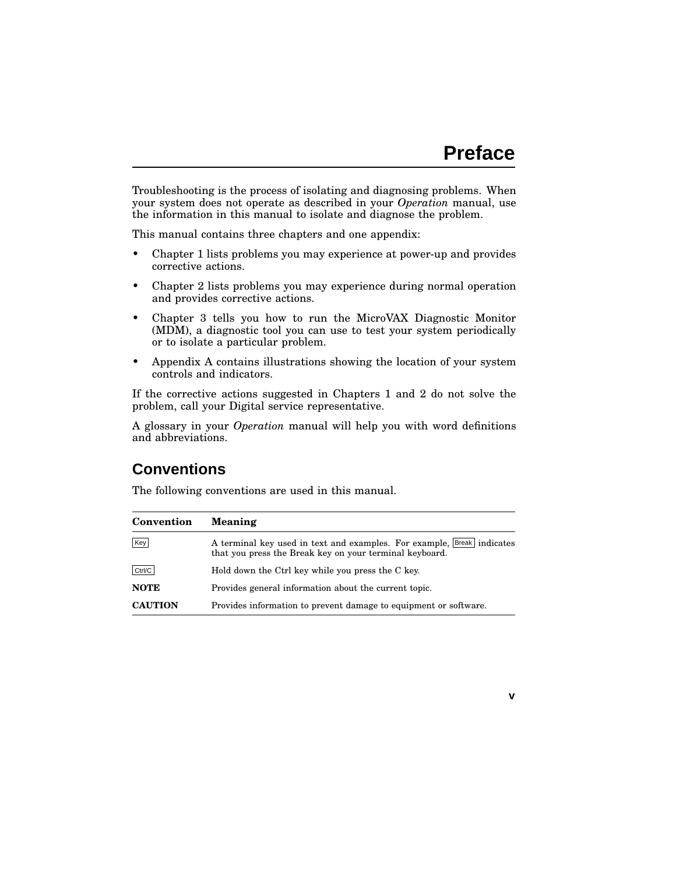**v**

Troubleshooting is the process of isolating and diagnosing problems. When your system does not operate as described in your *Operation* manual, use the information in this manual to isolate and diagnose the problem.

This manual contains three chapters and one appendix:

- Chapter 1 lists problems you may experience at power-up and provides corrective actions.
- Chapter 2 lists problems you may experience during normal operation and provides corrective actions.
- Chapter 3 tells you how to run the MicroVAX Diagnostic Monitor (MDM), a diagnostic tool you can use to test your system periodically or to isolate a particular problem.
- Appendix A contains illustrations showing the location of your system controls and indicators.

If the corrective actions suggested in Chapters 1 and 2 do not solve the problem, call your Digital service representative.

A glossary in your *Operation* manual will help you with word definitions and abbreviations.

# **Conventions**

The following conventions are used in this manual.

| Convention     | <b>Meaning</b>                                                                                                                    |
|----------------|-----------------------------------------------------------------------------------------------------------------------------------|
| Key            | A terminal key used in text and examples. For example, Break indicates<br>that you press the Break key on your terminal keyboard. |
| Ctrl/C         | Hold down the Ctrl key while you press the C key.                                                                                 |
| <b>NOTE</b>    | Provides general information about the current topic.                                                                             |
| <b>CAUTION</b> | Provides information to prevent damage to equipment or software.                                                                  |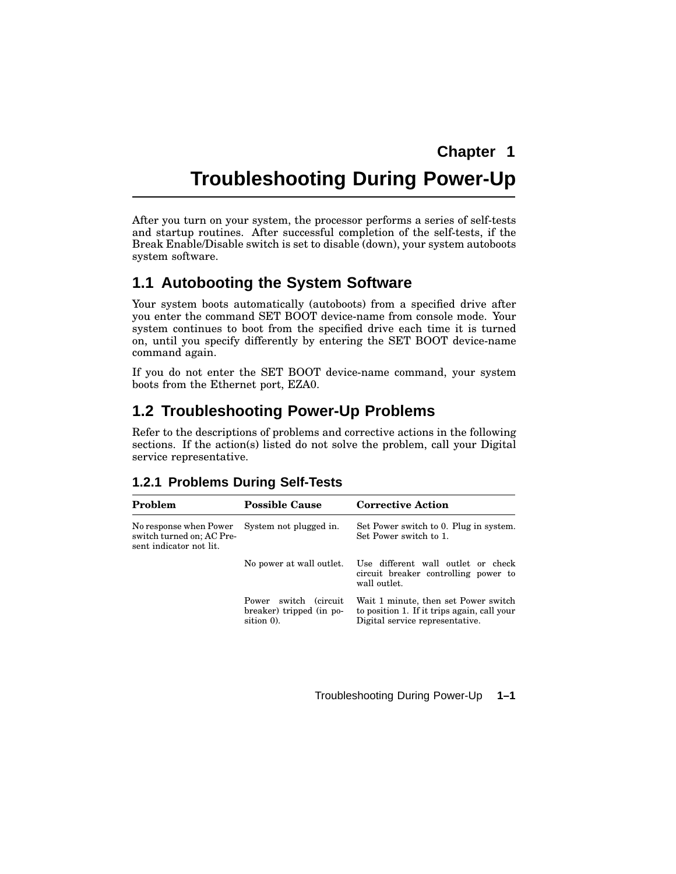# **Troubleshooting During Power-Up**

After you turn on your system, the processor performs a series of self-tests and startup routines. After successful completion of the self-tests, if the Break Enable/Disable switch is set to disable (down), your system autoboots system software.

## **1.1 Autobooting the System Software**

Your system boots automatically (autoboots) from a specified drive after you enter the command SET BOOT device-name from console mode. Your system continues to boot from the specified drive each time it is turned on, until you specify differently by entering the SET BOOT device-name command again.

If you do not enter the SET BOOT device-name command, your system boots from the Ethernet port, EZA0.

# **1.2 Troubleshooting Power-Up Problems**

Refer to the descriptions of problems and corrective actions in the following sections. If the action(s) listed do not solve the problem, call your Digital service representative.

| Problem                                                                        | <b>Possible Cause</b>                                           | <b>Corrective Action</b>                                                                                               |  |  |
|--------------------------------------------------------------------------------|-----------------------------------------------------------------|------------------------------------------------------------------------------------------------------------------------|--|--|
| No response when Power<br>switch turned on; AC Pre-<br>sent indicator not lit. | System not plugged in.                                          | Set Power switch to 0. Plug in system.<br>Set Power switch to 1.                                                       |  |  |
|                                                                                | No power at wall outlet.                                        | Use different wall outlet or check<br>circuit breaker controlling power to<br>wall outlet.                             |  |  |
|                                                                                | Power switch (circuit<br>breaker) tripped (in po-<br>sition 0). | Wait 1 minute, then set Power switch<br>to position 1. If it trips again, call your<br>Digital service representative. |  |  |

#### **1.2.1 Problems During Self-Tests**

Troubleshooting During Power-Up **1–1**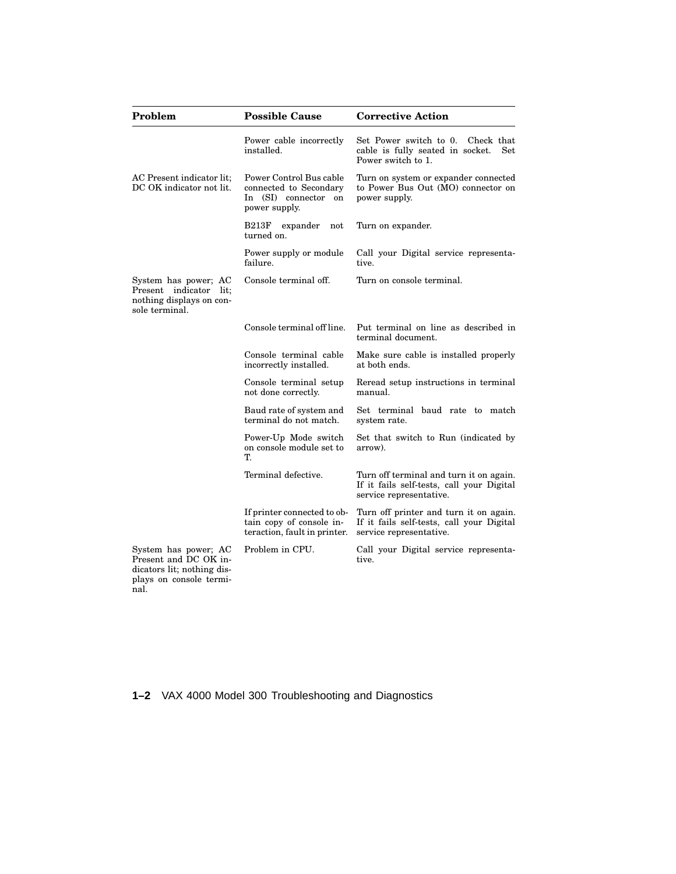| Problem                                                                                                        | <b>Possible Cause</b>                                                                         | <b>Corrective Action</b>                                                                                        |  |  |
|----------------------------------------------------------------------------------------------------------------|-----------------------------------------------------------------------------------------------|-----------------------------------------------------------------------------------------------------------------|--|--|
|                                                                                                                | Power cable incorrectly<br>installed.                                                         | Set Power switch to 0.<br>Check that<br><b>Set</b><br>cable is fully seated in socket.<br>Power switch to 1.    |  |  |
| AC Present indicator lit;<br>DC OK indicator not lit.                                                          | Power Control Bus cable<br>connected to Secondary<br>In (SI) connector<br>on<br>power supply. | Turn on system or expander connected<br>to Power Bus Out (MO) connector on<br>power supply.                     |  |  |
|                                                                                                                | expander<br>B213F<br>not<br>turned on.                                                        | Turn on expander.                                                                                               |  |  |
|                                                                                                                | Power supply or module<br>failure.                                                            | Call your Digital service representa-<br>tive.                                                                  |  |  |
| System has power; AC<br>indicator lit:<br>Present<br>nothing displays on con-<br>sole terminal.                | Console terminal off.                                                                         | Turn on console terminal.                                                                                       |  |  |
|                                                                                                                | Console terminal off line.                                                                    | Put terminal on line as described in<br>terminal document.                                                      |  |  |
|                                                                                                                | Console terminal cable<br>incorrectly installed.                                              | Make sure cable is installed properly<br>at both ends.                                                          |  |  |
|                                                                                                                | Console terminal setup<br>not done correctly.                                                 | Reread setup instructions in terminal<br>manual.                                                                |  |  |
|                                                                                                                | Baud rate of system and<br>terminal do not match.                                             | Set terminal baud rate to match<br>system rate.                                                                 |  |  |
|                                                                                                                | Power-Up Mode switch<br>on console module set to<br>T.                                        | Set that switch to Run (indicated by<br>arrow).                                                                 |  |  |
|                                                                                                                | Terminal defective.                                                                           | Turn off terminal and turn it on again.<br>If it fails self-tests, call your Digital<br>service representative. |  |  |
|                                                                                                                | If printer connected to ob-<br>tain copy of console in-<br>teraction, fault in printer.       | Turn off printer and turn it on again.<br>If it fails self-tests, call your Digital<br>service representative.  |  |  |
| System has power; AC<br>Present and DC OK in-<br>dicators lit; nothing dis-<br>plays on console termi-<br>nal. | Problem in CPU.                                                                               | Call your Digital service representa-<br>tive.                                                                  |  |  |

**1–2** VAX 4000 Model 300 Troubleshooting and Diagnostics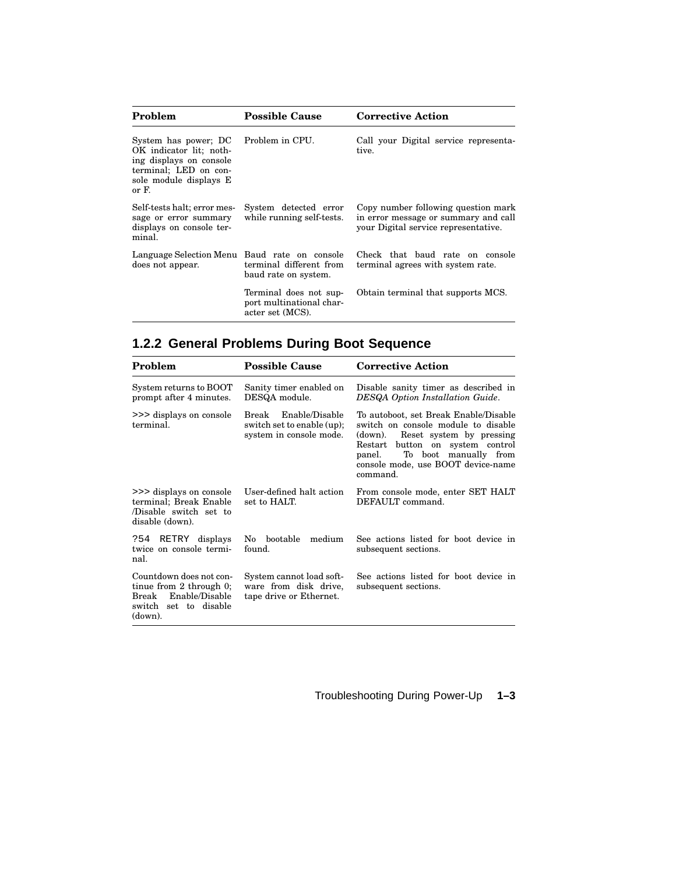| Problem                                                                                                                                | <b>Possible Cause</b>                                                  | <b>Corrective Action</b>                                                                                            |  |  |
|----------------------------------------------------------------------------------------------------------------------------------------|------------------------------------------------------------------------|---------------------------------------------------------------------------------------------------------------------|--|--|
| System has power; DC<br>OK indicator lit; noth-<br>ing displays on console<br>terminal; LED on con-<br>sole module displays E<br>or F. | Problem in CPU.                                                        | Call your Digital service representa-<br>tive.                                                                      |  |  |
| Self-tests halt; error mes-<br>sage or error summary<br>displays on console ter-<br>minal.                                             | System detected error<br>while running self-tests.                     | Copy number following question mark<br>in error message or summary and call<br>your Digital service representative. |  |  |
| Language Selection Menu Baud rate on console<br>does not appear.                                                                       | terminal different from<br>baud rate on system.                        | Check that baud rate on console<br>terminal agrees with system rate.                                                |  |  |
|                                                                                                                                        | Terminal does not sup-<br>port multinational char-<br>acter set (MCS). | Obtain terminal that supports MCS.                                                                                  |  |  |

# **1.2.2 General Problems During Boot Sequence**

| Problem                                                                                                             | <b>Possible Cause</b>                                                            | <b>Corrective Action</b><br>Disable sanity timer as described in<br>DESQA Option Installation Guide.                                                                                                                                            |  |  |
|---------------------------------------------------------------------------------------------------------------------|----------------------------------------------------------------------------------|-------------------------------------------------------------------------------------------------------------------------------------------------------------------------------------------------------------------------------------------------|--|--|
| System returns to BOOT<br>prompt after 4 minutes.                                                                   | Sanity timer enabled on<br>DESQA module.                                         |                                                                                                                                                                                                                                                 |  |  |
| >>> displays on console<br>terminal.                                                                                | Enable/Disable<br>Break<br>switch set to enable (up);<br>system in console mode. | To autoboot, set Break Enable/Disable<br>switch on console module to disable<br>Reset system by pressing<br>(down).<br>button on system control<br>Restart<br>To boot manually from<br>panel.<br>console mode, use BOOT device-name<br>command. |  |  |
| >>> displays on console<br>terminal; Break Enable<br>Disable switch set to<br>disable (down).                       | User-defined halt action<br>set to HALT.                                         | From console mode, enter SET HALT<br>DEFAULT command.                                                                                                                                                                                           |  |  |
| ?54 RETRY displays<br>twice on console termi-<br>nal.                                                               | No bootable<br>medium<br>found.                                                  | See actions listed for boot device in<br>subsequent sections.                                                                                                                                                                                   |  |  |
| Countdown does not con-<br>tinue from $2$ through $0$ ;<br>Break Enable/Disable<br>switch set to disable<br>(down). | System cannot load soft-<br>ware from disk drive,<br>tape drive or Ethernet.     | See actions listed for boot device in<br>subsequent sections.                                                                                                                                                                                   |  |  |

Troubleshooting During Power-Up **1–3**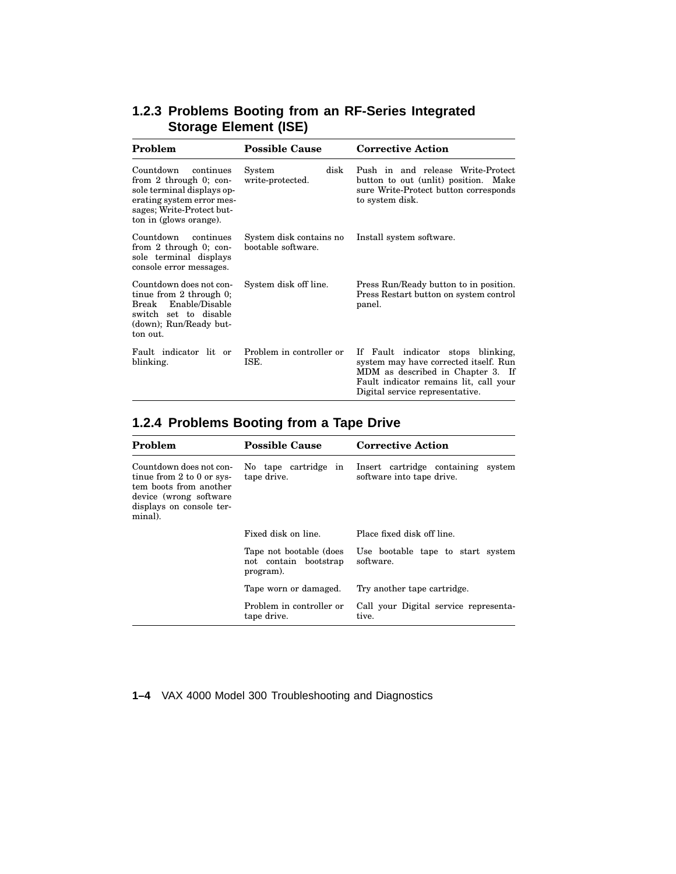|                              |  |  | 1.2.3 Problems Booting from an RF-Series Integrated |
|------------------------------|--|--|-----------------------------------------------------|
| <b>Storage Element (ISE)</b> |  |  |                                                     |

| Problem                                                                                                                                                               | <b>Possible Cause</b>                         | <b>Corrective Action</b>                                                                                                                                                                         |  |
|-----------------------------------------------------------------------------------------------------------------------------------------------------------------------|-----------------------------------------------|--------------------------------------------------------------------------------------------------------------------------------------------------------------------------------------------------|--|
| Countdown<br>continues<br>from 2 through $0$ ; con-<br>sole terminal displays op-<br>erating system error mes-<br>sages; Write-Protect but-<br>ton in (glows orange). | disk<br>System<br>write-protected.            | Push in and release Write-Protect<br>button to out (unlit) position. Make<br>sure Write-Protect button corresponds<br>to system disk.                                                            |  |
| Countdown<br>continues<br>from 2 through $0$ ; con-<br>sole terminal displays<br>console error messages.                                                              | System disk contains no<br>bootable software. | Install system software.                                                                                                                                                                         |  |
| Countdown does not con-<br>tinue from $2$ through $0$ ;<br>Enable/Disable<br>Break<br>switch set to disable<br>(down); Run/Ready but-<br>ton out.                     | System disk off line.                         | Press Run/Ready button to in position.<br>Press Restart button on system control<br>panel.                                                                                                       |  |
| Fault indicator lit or<br>blinking.                                                                                                                                   | Problem in controller or<br>ISE.              | Fault indicator stops blinking,<br>If<br>system may have corrected itself. Run<br>MDM as described in Chapter 3. If<br>Fault indicator remains lit, call your<br>Digital service representative. |  |

# **1.2.4 Problems Booting from a Tape Drive**

| Problem                                                                                                                                             | <b>Possible Cause</b>                                         | <b>Corrective Action</b>                                        |
|-----------------------------------------------------------------------------------------------------------------------------------------------------|---------------------------------------------------------------|-----------------------------------------------------------------|
| Countdown does not con-<br>tinue from $2$ to $0$ or sys-<br>tem boots from another<br>device (wrong software<br>displays on console ter-<br>minal). | No tape cartridge in<br>tape drive.                           | Insert cartridge containing system<br>software into tape drive. |
|                                                                                                                                                     | Fixed disk on line.                                           | Place fixed disk off line.                                      |
|                                                                                                                                                     | Tape not bootable (does<br>not contain bootstrap<br>program). | Use bootable tape to start system<br>software.                  |
|                                                                                                                                                     | Tape worn or damaged.                                         | Try another tape cartridge.                                     |
|                                                                                                                                                     | Problem in controller or<br>tape drive.                       | Call your Digital service representa-<br>tive.                  |

**1–4** VAX 4000 Model 300 Troubleshooting and Diagnostics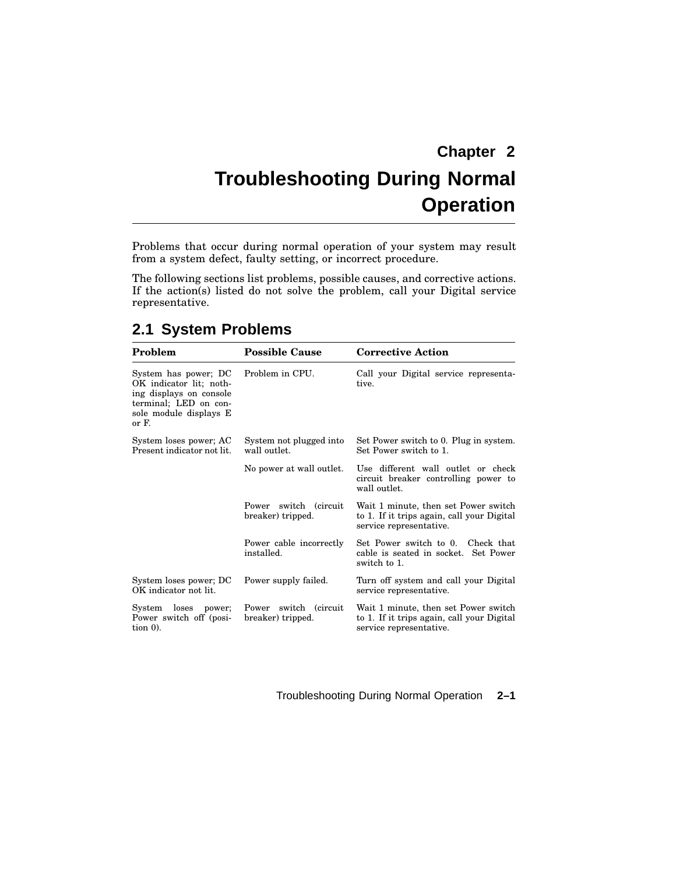# **Chapter 2 Troubleshooting During Normal Operation**

Problems that occur during normal operation of your system may result from a system defect, faulty setting, or incorrect procedure.

The following sections list problems, possible causes, and corrective actions. If the action(s) listed do not solve the problem, call your Digital service representative.

| Problem                                                                                                                                | <b>Possible Cause</b>                         | <b>Corrective Action</b>                                                                                      |
|----------------------------------------------------------------------------------------------------------------------------------------|-----------------------------------------------|---------------------------------------------------------------------------------------------------------------|
| System has power; DC<br>OK indicator lit; noth-<br>ing displays on console<br>terminal; LED on con-<br>sole module displays E<br>or F. | Problem in CPU.                               | Call your Digital service representa-<br>tive.                                                                |
| System loses power; AC<br>Present indicator not lit.                                                                                   | System not plugged into<br>wall outlet.       | Set Power switch to 0. Plug in system.<br>Set Power switch to 1.                                              |
|                                                                                                                                        | No power at wall outlet.                      | Use different wall outlet or check<br>circuit breaker controlling power to<br>wall outlet.                    |
|                                                                                                                                        | switch (circuit<br>Power<br>breaker) tripped. | Wait 1 minute, then set Power switch<br>to 1. If it trips again, call your Digital<br>service representative. |
|                                                                                                                                        | Power cable incorrectly<br>installed.         | Set Power switch to 0. Check that<br>cable is seated in socket. Set Power<br>switch to 1.                     |
| System loses power; DC<br>OK indicator not lit.                                                                                        | Power supply failed.                          | Turn off system and call your Digital<br>service representative.                                              |
| System<br>loses<br>power;<br>Power switch off (posi-<br>tion $0$ ).                                                                    | switch (circuit<br>Power<br>breaker) tripped. | Wait 1 minute, then set Power switch<br>to 1. If it trips again, call your Digital<br>service representative. |

# **2.1 System Problems**

Troubleshooting During Normal Operation **2–1**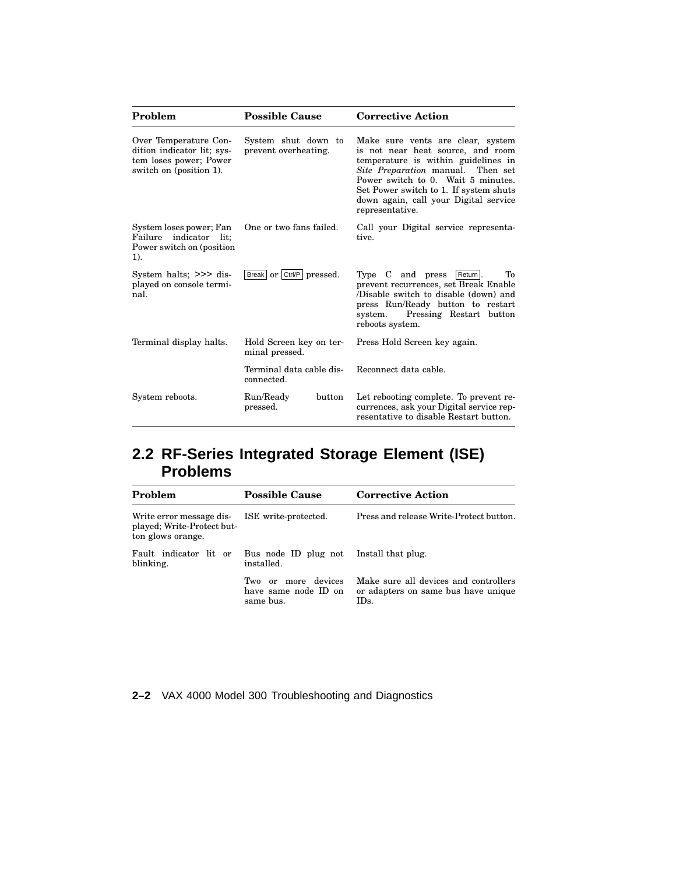| Problem                                                                                                  | <b>Possible Cause</b>                       | <b>Corrective Action</b>                                                                                                                                                                                                                                                                              |
|----------------------------------------------------------------------------------------------------------|---------------------------------------------|-------------------------------------------------------------------------------------------------------------------------------------------------------------------------------------------------------------------------------------------------------------------------------------------------------|
| Over Temperature Con-<br>dition indicator lit; sys-<br>tem loses power; Power<br>switch on (position 1). | System shut down to<br>prevent overheating. | Make sure vents are clear, system<br>is not near heat source, and room<br>temperature is within guidelines in<br><i>Site Preparation</i> manual. Then set<br>Power switch to 0. Wait 5 minutes.<br>Set Power switch to 1. If system shuts<br>down again, call your Digital service<br>representative. |
| System loses power; Fan<br>Failure indicator lit;<br>Power switch on (position)<br>1).                   | One or two fans failed.                     | Call your Digital service representa-<br>tive.                                                                                                                                                                                                                                                        |
| System halts; $\gg$ dis-<br>played on console termi-<br>nal.                                             | Break or Ctrl/P pressed.                    | Type C and press<br>Return<br>Tо<br>prevent recurrences, set Break Enable<br>(Disable switch to disable (down) and<br>press Run/Ready button to restart<br>Pressing Restart button<br>system.<br>reboots system.                                                                                      |
| Terminal display halts.                                                                                  | Hold Screen key on ter-<br>minal pressed.   | Press Hold Screen key again.                                                                                                                                                                                                                                                                          |
|                                                                                                          | Terminal data cable dis-<br>connected.      | Reconnect data cable.                                                                                                                                                                                                                                                                                 |
| System reboots.                                                                                          | Run/Ready<br>button<br>pressed.             | Let rebooting complete. To prevent re-<br>currences, ask your Digital service rep-<br>resentative to disable Restart button.                                                                                                                                                                          |

# **2.2 RF-Series Integrated Storage Element (ISE) Problems**

| Problem                                                                                             | <b>Possible Cause</b>                                    | <b>Corrective Action</b>                                                             |
|-----------------------------------------------------------------------------------------------------|----------------------------------------------------------|--------------------------------------------------------------------------------------|
| Write error message dis-<br>ISE write-protected.<br>played; Write-Protect but-<br>ton glows orange. |                                                          | Press and release Write-Protect button.                                              |
| Fault indicator lit or<br>blinking.                                                                 | Bus node ID plug not Install that plug.<br>installed.    |                                                                                      |
|                                                                                                     | Two or more devices<br>have same node ID on<br>same bus. | Make sure all devices and controllers<br>or adapters on same bus have unique<br>IDs. |

**2–2** VAX 4000 Model 300 Troubleshooting and Diagnostics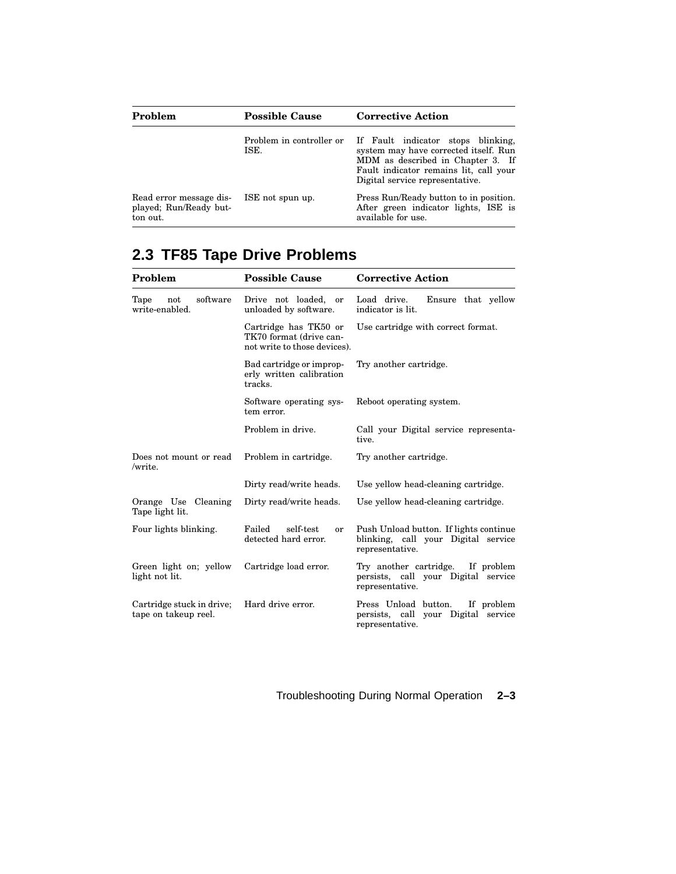| Problem                                                       | <b>Possible Cause</b>            | <b>Corrective Action</b>                                                                                                                                                                      |
|---------------------------------------------------------------|----------------------------------|-----------------------------------------------------------------------------------------------------------------------------------------------------------------------------------------------|
|                                                               | Problem in controller or<br>ISE. | If Fault indicator stops blinking,<br>system may have corrected itself. Run<br>MDM as described in Chapter 3. If<br>Fault indicator remains lit, call your<br>Digital service representative. |
| Read error message dis-<br>played; Run/Ready but-<br>ton out. | ISE not spun up.                 | Press Run/Ready button to in position.<br>After green indicator lights, ISE is<br>available for use.                                                                                          |

# **2.3 TF85 Tape Drive Problems**

| Problem                                           | <b>Possible Cause</b>                                                            | <b>Corrective Action</b>                                                                         |
|---------------------------------------------------|----------------------------------------------------------------------------------|--------------------------------------------------------------------------------------------------|
| software<br>Tape<br>not<br>write-enabled.         | Drive not loaded,<br>or<br>unloaded by software.                                 | Load drive.<br>Ensure that yellow<br>indicator is lit.                                           |
|                                                   | Cartridge has TK50 or<br>TK70 format (drive can-<br>not write to those devices). | Use cartridge with correct format.                                                               |
|                                                   | Bad cartridge or improp-<br>erly written calibration<br>tracks.                  | Try another cartridge.                                                                           |
|                                                   | Software operating sys-<br>tem error.                                            | Reboot operating system.                                                                         |
|                                                   | Problem in drive.                                                                | Call your Digital service representa-<br>tive.                                                   |
| Does not mount or read<br>/write.                 | Problem in cartridge.                                                            | Try another cartridge.                                                                           |
|                                                   | Dirty read/write heads.                                                          | Use yellow head-cleaning cartridge.                                                              |
| Orange Use Cleaning<br>Tape light lit.            | Dirty read/write heads.                                                          | Use yellow head-cleaning cartridge.                                                              |
| Four lights blinking.                             | Failed<br>self-test<br><sub>or</sub><br>detected hard error.                     | Push Unload button. If lights continue<br>blinking, call your Digital service<br>representative. |
| Green light on; yellow<br>light not lit.          | Cartridge load error.                                                            | Try another cartridge. If problem<br>persists, call your Digital service<br>representative.      |
| Cartridge stuck in drive;<br>tape on takeup reel. | Hard drive error.                                                                | Press Unload button.<br>If problem<br>persists, call your Digital service<br>representative.     |

# Troubleshooting During Normal Operation **2–3**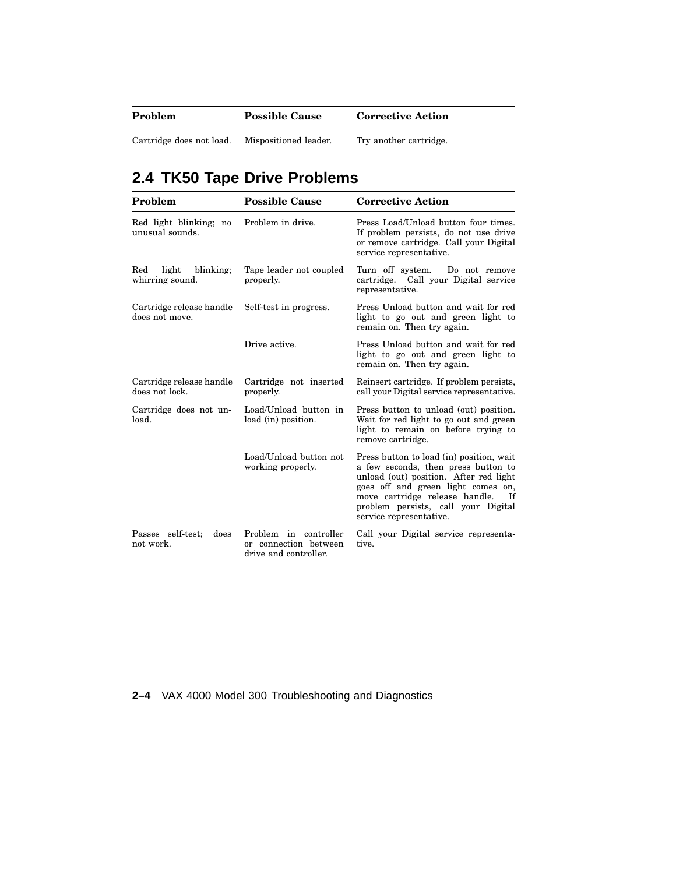| Problem                  | <b>Possible Cause</b> | <b>Corrective Action</b> |
|--------------------------|-----------------------|--------------------------|
| Cartridge does not load. | Mispositioned leader. | Try another cartridge.   |

# **2.4 TK50 Tape Drive Problems**

| Problem                                      | <b>Possible Cause</b>                                                   | <b>Corrective Action</b>                                                                                                                                                                                                                                                    |
|----------------------------------------------|-------------------------------------------------------------------------|-----------------------------------------------------------------------------------------------------------------------------------------------------------------------------------------------------------------------------------------------------------------------------|
| Red light blinking; no<br>unusual sounds.    | Problem in drive.                                                       | Press Load/Unload button four times.<br>If problem persists, do not use drive<br>or remove cartridge. Call your Digital<br>service representative.                                                                                                                          |
| light<br>blinking;<br>Red<br>whirring sound. | Tape leader not coupled<br>properly.                                    | Turn off system.<br>Do not remove<br>cartridge. Call your Digital service<br>representative.                                                                                                                                                                                |
| Cartridge release handle<br>does not move.   | Self-test in progress.                                                  | Press Unload button and wait for red<br>light to go out and green light to<br>remain on. Then try again.                                                                                                                                                                    |
|                                              | Drive active.                                                           | Press Unload button and wait for red<br>light to go out and green light to<br>remain on. Then try again.                                                                                                                                                                    |
| Cartridge release handle<br>does not lock.   | Cartridge not inserted<br>properly.                                     | Reinsert cartridge. If problem persists,<br>call your Digital service representative.                                                                                                                                                                                       |
| Cartridge does not un-<br>load.              | Load/Unload button in<br>load (in) position.                            | Press button to unload (out) position.<br>Wait for red light to go out and green<br>light to remain on before trying to<br>remove cartridge.                                                                                                                                |
|                                              | Load/Unload button not<br>working properly.                             | Press button to load (in) position, wait<br>a few seconds, then press button to<br>unload (out) position. After red light<br>goes off and green light comes on,<br>move cartridge release handle.<br>- Tf<br>problem persists, call your Digital<br>service representative. |
| Passes self-test;<br>does<br>not work.       | Problem in controller<br>or connection between<br>drive and controller. | Call your Digital service representa-<br>tive.                                                                                                                                                                                                                              |

**2–4** VAX 4000 Model 300 Troubleshooting and Diagnostics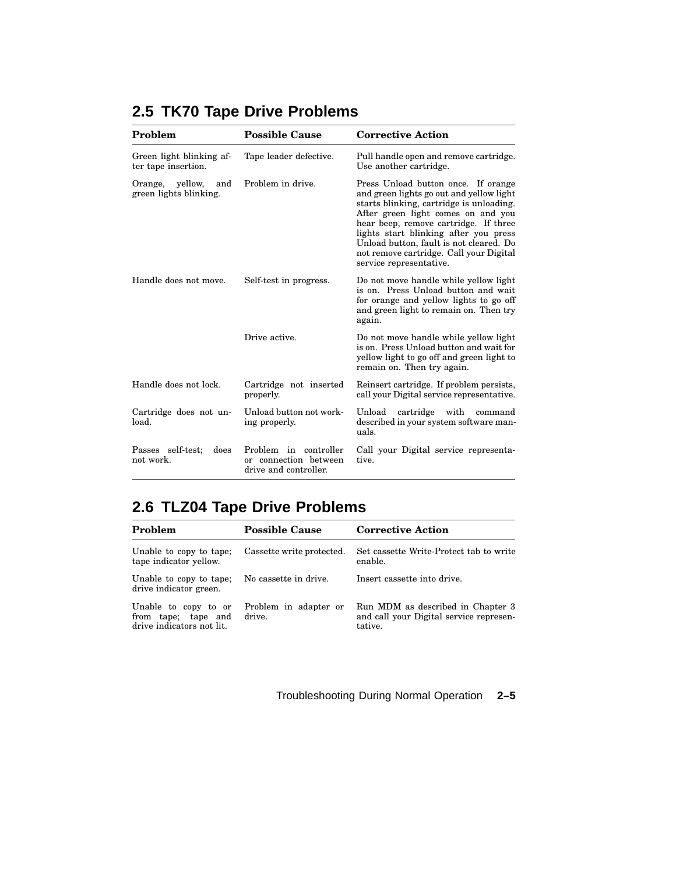| Problem                                          | <b>Possible Cause</b>                                                   | <b>Corrective Action</b>                                                                                                                                                                                                                                                                                                                                             |
|--------------------------------------------------|-------------------------------------------------------------------------|----------------------------------------------------------------------------------------------------------------------------------------------------------------------------------------------------------------------------------------------------------------------------------------------------------------------------------------------------------------------|
| Green light blinking af-<br>ter tape insertion.  | Tape leader defective.                                                  | Pull handle open and remove cartridge.<br>Use another cartridge.                                                                                                                                                                                                                                                                                                     |
| Orange, yellow,<br>and<br>green lights blinking. | Problem in drive.                                                       | Press Unload button once. If orange<br>and green lights go out and yellow light<br>starts blinking, cartridge is unloading.<br>After green light comes on and you<br>hear beep, remove cartridge. If three<br>lights start blinking after you press<br>Unload button, fault is not cleared. Do<br>not remove cartridge. Call your Digital<br>service representative. |
| Handle does not move.                            | Self-test in progress.                                                  | Do not move handle while yellow light<br>is on. Press Unload button and wait<br>for orange and yellow lights to go off<br>and green light to remain on. Then try<br>again.                                                                                                                                                                                           |
|                                                  | Drive active.                                                           | Do not move handle while yellow light<br>is on. Press Unload button and wait for<br>yellow light to go off and green light to<br>remain on. Then try again.                                                                                                                                                                                                          |
| Handle does not lock.                            | Cartridge not inserted<br>properly.                                     | Reinsert cartridge. If problem persists,<br>call your Digital service representative.                                                                                                                                                                                                                                                                                |
| Cartridge does not un-<br>load.                  | Unload button not work-<br>ing properly.                                | Unload<br>cartridge with command<br>described in your system software man-<br>uals.                                                                                                                                                                                                                                                                                  |
| Passes self-test;<br>does<br>not work.           | Problem in controller<br>or connection between<br>drive and controller. | Call your Digital service representa-<br>tive.                                                                                                                                                                                                                                                                                                                       |

# **2.5 TK70 Tape Drive Problems**

# **2.6 TLZ04 Tape Drive Problems**

| Problem                                                                  | <b>Possible Cause</b>           | <b>Corrective Action</b>                                                                |
|--------------------------------------------------------------------------|---------------------------------|-----------------------------------------------------------------------------------------|
| Unable to copy to tape;<br>tape indicator yellow.                        | Cassette write protected.       | Set cassette Write-Protect tab to write<br>enable.                                      |
| Unable to copy to tape;<br>drive indicator green.                        | No cassette in drive.           | Insert cassette into drive.                                                             |
| Unable to copy to or<br>from tape; tape and<br>drive indicators not lit. | Problem in adapter or<br>drive. | Run MDM as described in Chapter 3<br>and call your Digital service represen-<br>tative. |

Troubleshooting During Normal Operation **2–5**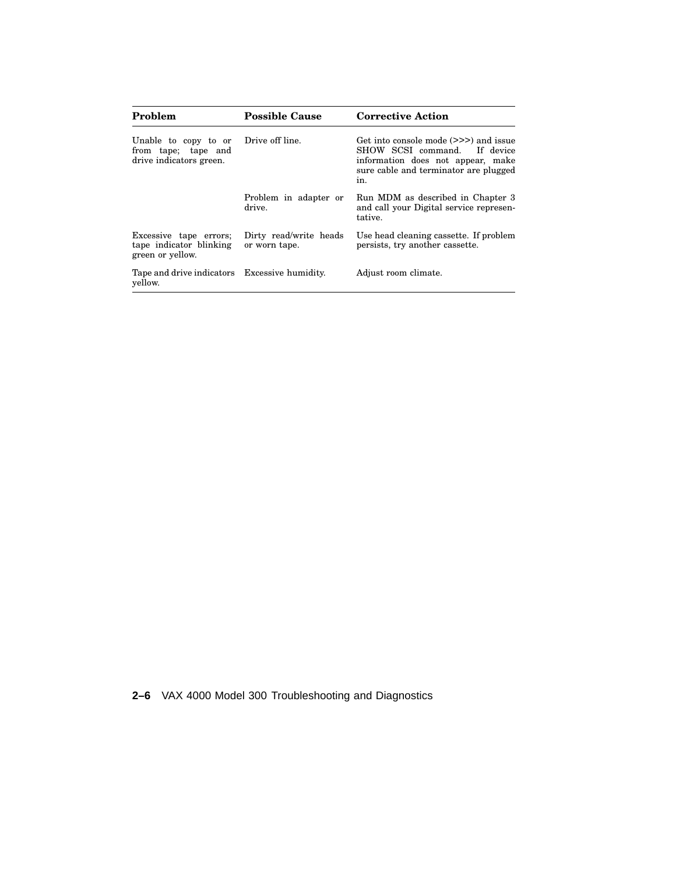| Problem                                                                | <b>Possible Cause</b>                   | <b>Corrective Action</b>                                                                                                                                   |
|------------------------------------------------------------------------|-----------------------------------------|------------------------------------------------------------------------------------------------------------------------------------------------------------|
| Unable to copy to or<br>from tape; tape and<br>drive indicators green. | Drive off line.                         | Get into console mode (>>>) and issue<br>SHOW SCSI command. If device<br>information does not appear, make<br>sure cable and terminator are plugged<br>in. |
|                                                                        | Problem in adapter or<br>drive.         | Run MDM as described in Chapter 3<br>and call your Digital service represen-<br>tative.                                                                    |
| Excessive tape errors;<br>tape indicator blinking<br>green or yellow.  | Dirty read/write heads<br>or worn tape. | Use head cleaning cassette. If problem<br>persists, try another cassette.                                                                                  |
| Tape and drive indicators Excessive humidity.<br>yellow.               |                                         | Adjust room climate.                                                                                                                                       |

**2–6** VAX 4000 Model 300 Troubleshooting and Diagnostics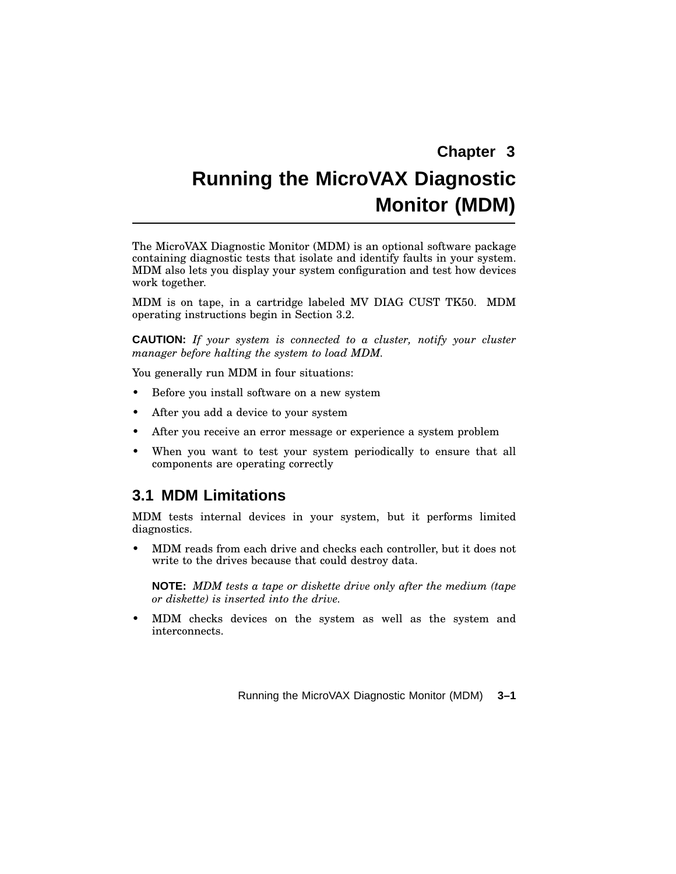# **Running the MicroVAX Diagnostic Monitor (MDM)**

The MicroVAX Diagnostic Monitor (MDM) is an optional software package containing diagnostic tests that isolate and identify faults in your system. MDM also lets you display your system configuration and test how devices work together.

MDM is on tape, in a cartridge labeled MV DIAG CUST TK50. MDM operating instructions begin in Section 3.2.

**CAUTION:** *If your system is connected to a cluster, notify your cluster manager before halting the system to load MDM.*

You generally run MDM in four situations:

- Before you install software on a new system
- After you add a device to your system
- After you receive an error message or experience a system problem
- When you want to test your system periodically to ensure that all components are operating correctly

### **3.1 MDM Limitations**

MDM tests internal devices in your system, but it performs limited diagnostics.

• MDM reads from each drive and checks each controller, but it does not write to the drives because that could destroy data.

**NOTE:** *MDM tests a tape or diskette drive only after the medium (tape or diskette) is inserted into the drive.*

• MDM checks devices on the system as well as the system and interconnects.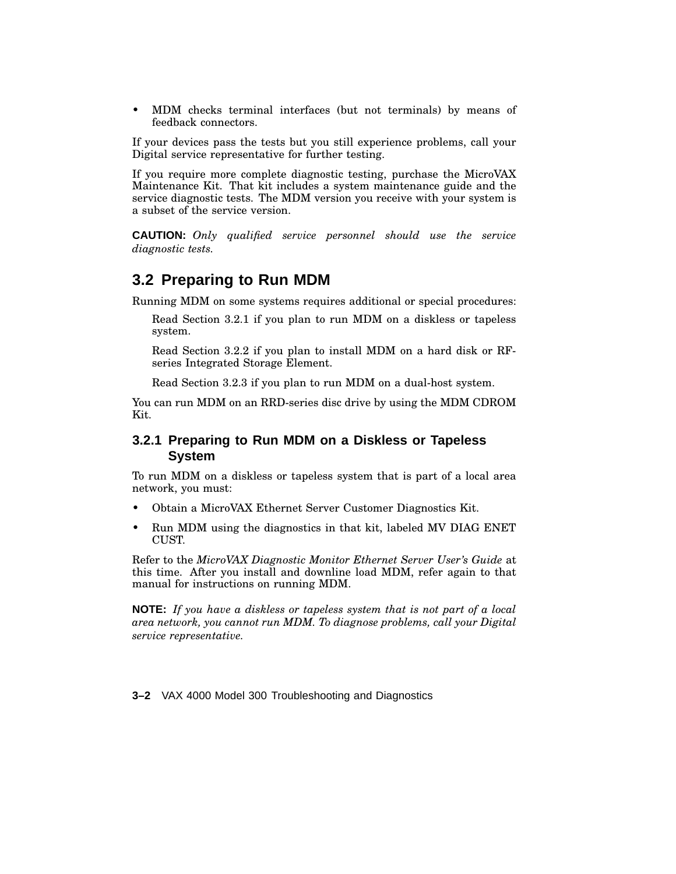• MDM checks terminal interfaces (but not terminals) by means of feedback connectors.

If your devices pass the tests but you still experience problems, call your Digital service representative for further testing.

If you require more complete diagnostic testing, purchase the MicroVAX Maintenance Kit. That kit includes a system maintenance guide and the service diagnostic tests. The MDM version you receive with your system is a subset of the service version.

**CAUTION:** *Only qualified service personnel should use the service diagnostic tests.*

### **3.2 Preparing to Run MDM**

Running MDM on some systems requires additional or special procedures:

Read Section 3.2.1 if you plan to run MDM on a diskless or tapeless system.

Read Section 3.2.2 if you plan to install MDM on a hard disk or RFseries Integrated Storage Element.

Read Section 3.2.3 if you plan to run MDM on a dual-host system.

You can run MDM on an RRD-series disc drive by using the MDM CDROM Kit.

#### **3.2.1 Preparing to Run MDM on a Diskless or Tapeless System**

To run MDM on a diskless or tapeless system that is part of a local area network, you must:

- Obtain a MicroVAX Ethernet Server Customer Diagnostics Kit.
- Run MDM using the diagnostics in that kit, labeled MV DIAG ENET CUST.

Refer to the *MicroVAX Diagnostic Monitor Ethernet Server User's Guide* at this time. After you install and downline load MDM, refer again to that manual for instructions on running MDM.

**NOTE:** *If you have a diskless or tapeless system that is not part of a local area network, you cannot run MDM. To diagnose problems, call your Digital service representative.*

**3–2** VAX 4000 Model 300 Troubleshooting and Diagnostics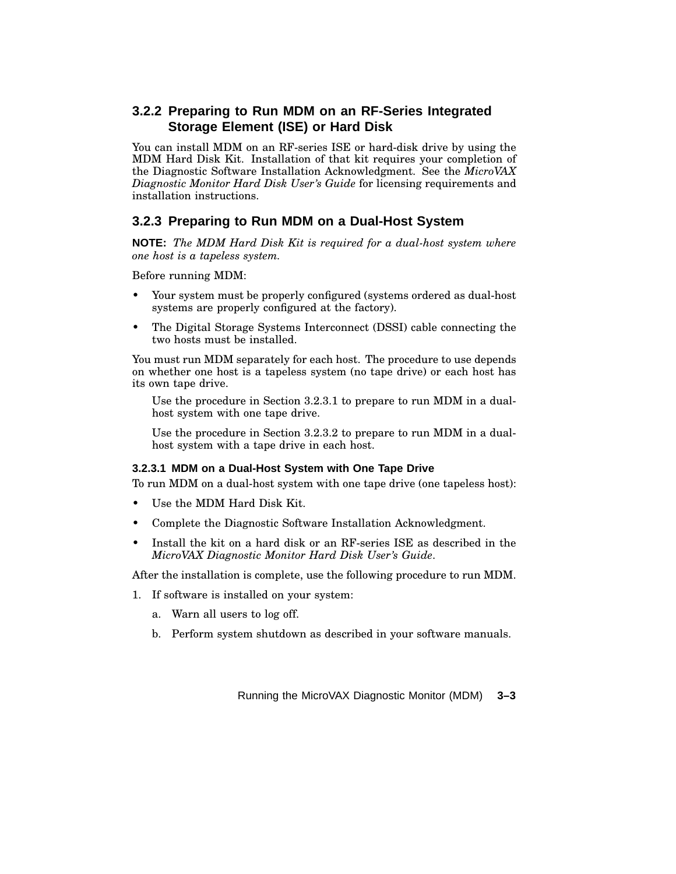#### **3.2.2 Preparing to Run MDM on an RF-Series Integrated Storage Element (ISE) or Hard Disk**

You can install MDM on an RF-series ISE or hard-disk drive by using the MDM Hard Disk Kit. Installation of that kit requires your completion of the Diagnostic Software Installation Acknowledgment. See the *MicroVAX Diagnostic Monitor Hard Disk User's Guide* for licensing requirements and installation instructions.

#### **3.2.3 Preparing to Run MDM on a Dual-Host System**

**NOTE:** *The MDM Hard Disk Kit is required for a dual-host system where one host is a tapeless system.*

Before running MDM:

- Your system must be properly configured (systems ordered as dual-host systems are properly configured at the factory).
- The Digital Storage Systems Interconnect (DSSI) cable connecting the two hosts must be installed.

You must run MDM separately for each host. The procedure to use depends on whether one host is a tapeless system (no tape drive) or each host has its own tape drive.

Use the procedure in Section 3.2.3.1 to prepare to run MDM in a dualhost system with one tape drive.

Use the procedure in Section 3.2.3.2 to prepare to run MDM in a dualhost system with a tape drive in each host.

#### **3.2.3.1 MDM on a Dual-Host System with One Tape Drive**

To run MDM on a dual-host system with one tape drive (one tapeless host):

- Use the MDM Hard Disk Kit.
- Complete the Diagnostic Software Installation Acknowledgment.
- Install the kit on a hard disk or an RF-series ISE as described in the *MicroVAX Diagnostic Monitor Hard Disk User's Guide*.

After the installation is complete, use the following procedure to run MDM.

- 1. If software is installed on your system:
	- a. Warn all users to log off.
	- b. Perform system shutdown as described in your software manuals.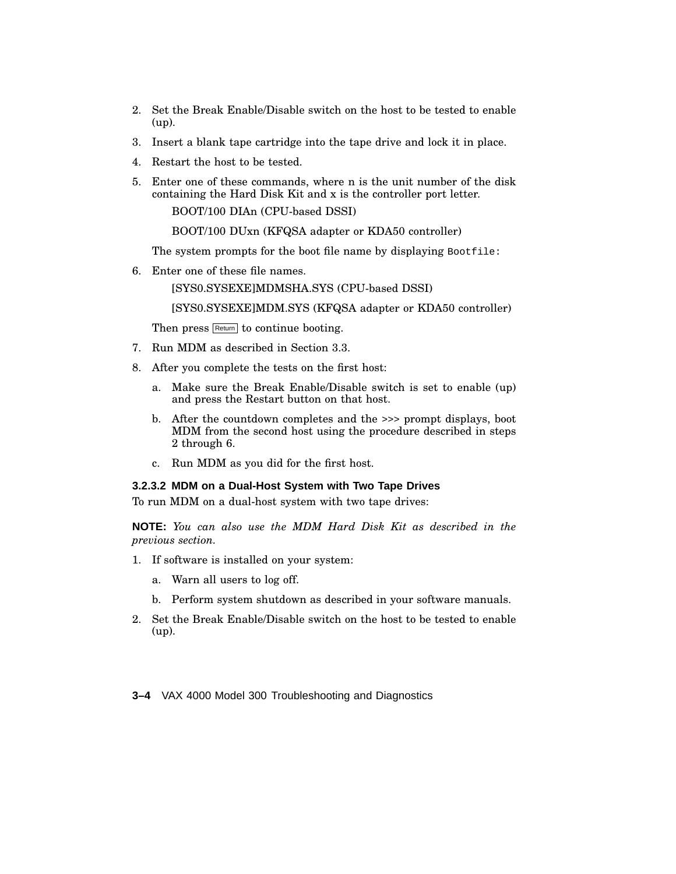- 2. Set the Break Enable/Disable switch on the host to be tested to enable (up).
- 3. Insert a blank tape cartridge into the tape drive and lock it in place.
- 4. Restart the host to be tested.
- 5. Enter one of these commands, where n is the unit number of the disk containing the Hard Disk Kit and x is the controller port letter.

BOOT/100 DIAn (CPU-based DSSI)

BOOT/100 DUxn (KFQSA adapter or KDA50 controller)

The system prompts for the boot file name by displaying Bootfile:

6. Enter one of these file names.

[SYS0.SYSEXE]MDMSHA.SYS (CPU-based DSSI)

[SYS0.SYSEXE]MDM.SYS (KFQSA adapter or KDA50 controller)

Then press Return to continue booting.

- 7. Run MDM as described in Section 3.3.
- 8. After you complete the tests on the first host:
	- a. Make sure the Break Enable/Disable switch is set to enable (up) and press the Restart button on that host.
	- b. After the countdown completes and the >>> prompt displays, boot MDM from the second host using the procedure described in steps 2 through 6.
	- c. Run MDM as you did for the first host.

#### **3.2.3.2 MDM on a Dual-Host System with Two Tape Drives**

To run MDM on a dual-host system with two tape drives:

**NOTE:** *You can also use the MDM Hard Disk Kit as described in the previous section.*

- 1. If software is installed on your system:
	- a. Warn all users to log off.
	- b. Perform system shutdown as described in your software manuals.
- 2. Set the Break Enable/Disable switch on the host to be tested to enable (up).

**3–4** VAX 4000 Model 300 Troubleshooting and Diagnostics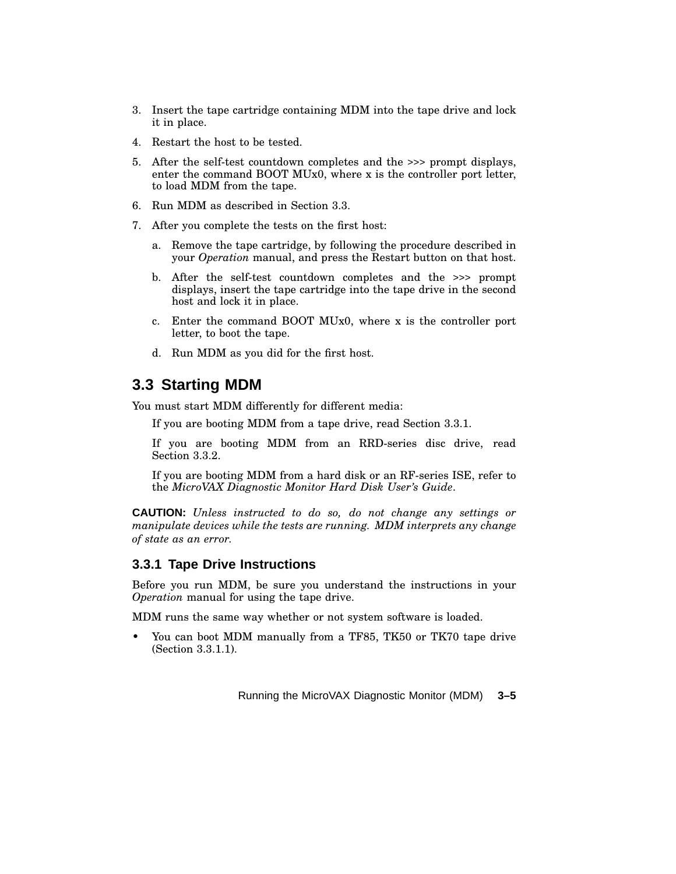- 3. Insert the tape cartridge containing MDM into the tape drive and lock it in place.
- 4. Restart the host to be tested.
- 5. After the self-test countdown completes and the >>> prompt displays, enter the command BOOT MUx0, where x is the controller port letter, to load MDM from the tape.
- 6. Run MDM as described in Section 3.3.
- 7. After you complete the tests on the first host:
	- a. Remove the tape cartridge, by following the procedure described in your *Operation* manual, and press the Restart button on that host.
	- b. After the self-test countdown completes and the >>> prompt displays, insert the tape cartridge into the tape drive in the second host and lock it in place.
	- c. Enter the command BOOT MUx0, where x is the controller port letter, to boot the tape.
	- d. Run MDM as you did for the first host.

### **3.3 Starting MDM**

You must start MDM differently for different media:

If you are booting MDM from a tape drive, read Section 3.3.1.

If you are booting MDM from an RRD-series disc drive, read Section 3.3.2.

If you are booting MDM from a hard disk or an RF-series ISE, refer to the *MicroVAX Diagnostic Monitor Hard Disk User's Guide*.

**CAUTION:** *Unless instructed to do so, do not change any settings or manipulate devices while the tests are running. MDM interprets any change of state as an error.*

#### **3.3.1 Tape Drive Instructions**

Before you run MDM, be sure you understand the instructions in your *Operation* manual for using the tape drive.

MDM runs the same way whether or not system software is loaded.

• You can boot MDM manually from a TF85, TK50 or TK70 tape drive (Section 3.3.1.1).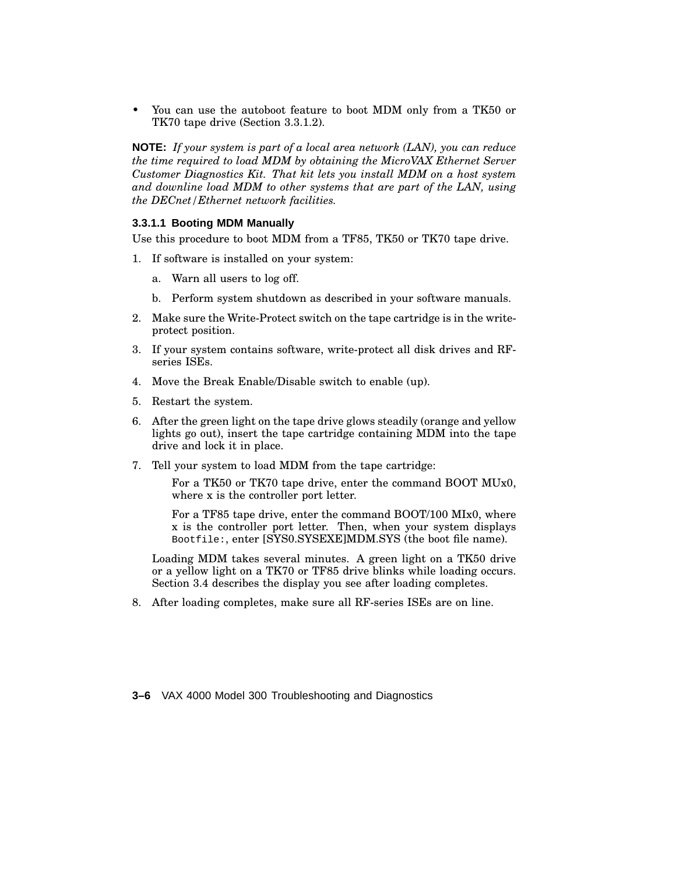• You can use the autoboot feature to boot MDM only from a TK50 or TK70 tape drive (Section 3.3.1.2).

**NOTE:** *If your system is part of a local area network (LAN), you can reduce the time required to load MDM by obtaining the MicroVAX Ethernet Server Customer Diagnostics Kit. That kit lets you install MDM on a host system and downline load MDM to other systems that are part of the LAN, using the DECnet/Ethernet network facilities.*

#### **3.3.1.1 Booting MDM Manually**

Use this procedure to boot MDM from a TF85, TK50 or TK70 tape drive.

- 1. If software is installed on your system:
	- a. Warn all users to log off.
	- b. Perform system shutdown as described in your software manuals.
- 2. Make sure the Write-Protect switch on the tape cartridge is in the writeprotect position.
- 3. If your system contains software, write-protect all disk drives and RFseries ISEs.
- 4. Move the Break Enable/Disable switch to enable (up).
- 5. Restart the system.
- 6. After the green light on the tape drive glows steadily (orange and yellow lights go out), insert the tape cartridge containing MDM into the tape drive and lock it in place.
- 7. Tell your system to load MDM from the tape cartridge:

For a TK50 or TK70 tape drive, enter the command BOOT MUx0, where x is the controller port letter.

For a TF85 tape drive, enter the command BOOT/100 MIx0, where x is the controller port letter. Then, when your system displays Bootfile:, enter [SYS0.SYSEXE]MDM.SYS (the boot file name).

Loading MDM takes several minutes. A green light on a TK50 drive or a yellow light on a TK70 or TF85 drive blinks while loading occurs. Section 3.4 describes the display you see after loading completes.

8. After loading completes, make sure all RF-series ISEs are on line.

**3–6** VAX 4000 Model 300 Troubleshooting and Diagnostics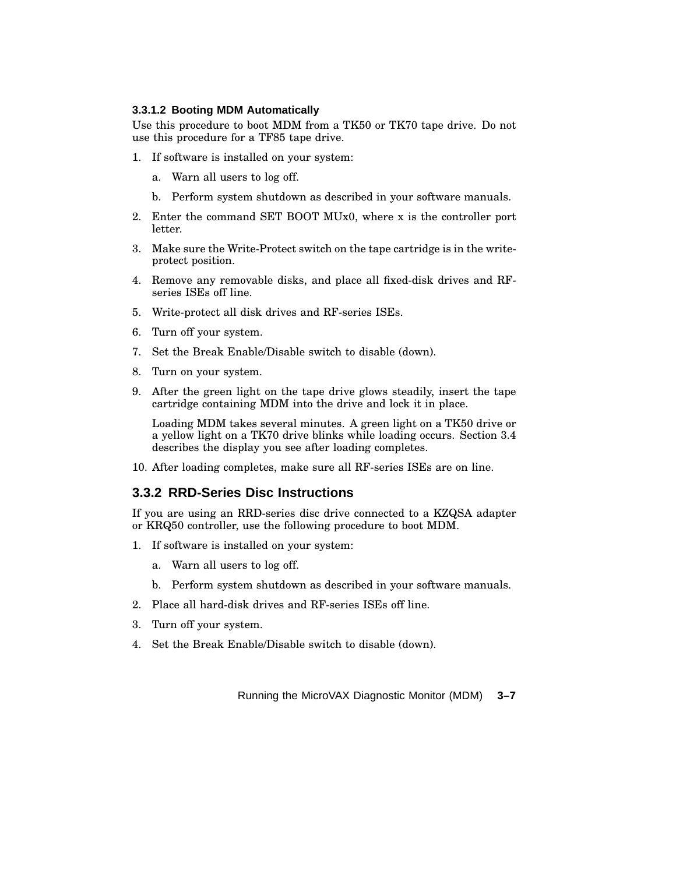#### **3.3.1.2 Booting MDM Automatically**

Use this procedure to boot MDM from a TK50 or TK70 tape drive. Do not use this procedure for a TF85 tape drive.

- 1. If software is installed on your system:
	- a. Warn all users to log off.
	- b. Perform system shutdown as described in your software manuals.
- 2. Enter the command SET BOOT MUx0, where x is the controller port letter.
- 3. Make sure the Write-Protect switch on the tape cartridge is in the writeprotect position.
- 4. Remove any removable disks, and place all fixed-disk drives and RFseries ISEs off line.
- 5. Write-protect all disk drives and RF-series ISEs.
- 6. Turn off your system.
- 7. Set the Break Enable/Disable switch to disable (down).
- 8. Turn on your system.
- 9. After the green light on the tape drive glows steadily, insert the tape cartridge containing MDM into the drive and lock it in place.

Loading MDM takes several minutes. A green light on a TK50 drive or a yellow light on a TK70 drive blinks while loading occurs. Section 3.4 describes the display you see after loading completes.

10. After loading completes, make sure all RF-series ISEs are on line.

#### **3.3.2 RRD-Series Disc Instructions**

If you are using an RRD-series disc drive connected to a KZQSA adapter or KRQ50 controller, use the following procedure to boot MDM.

- 1. If software is installed on your system:
	- a. Warn all users to log off.
	- b. Perform system shutdown as described in your software manuals.
- 2. Place all hard-disk drives and RF-series ISEs off line.
- 3. Turn off your system.
- 4. Set the Break Enable/Disable switch to disable (down).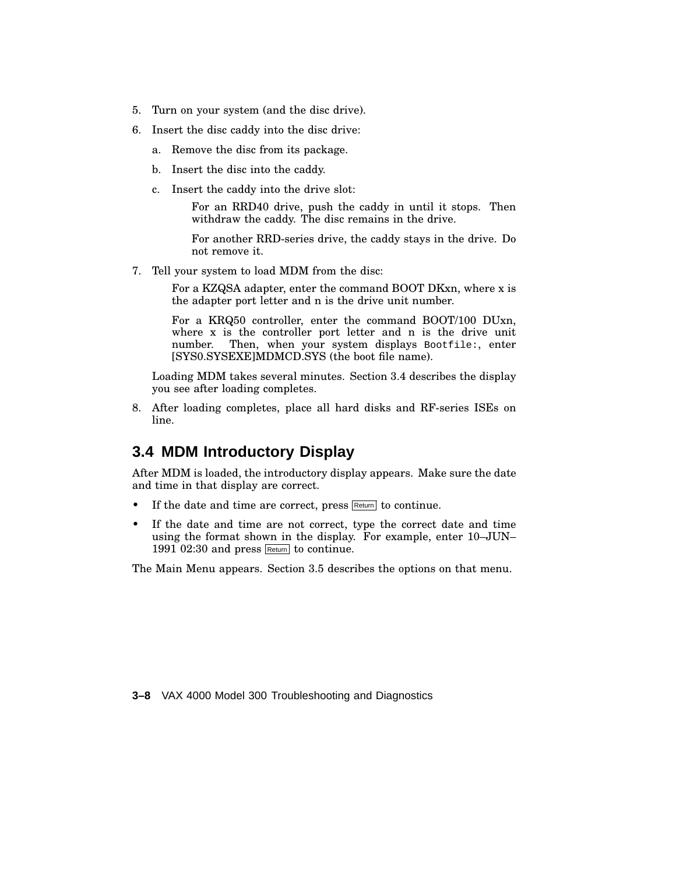- 5. Turn on your system (and the disc drive).
- 6. Insert the disc caddy into the disc drive:
	- a. Remove the disc from its package.
	- b. Insert the disc into the caddy.
	- c. Insert the caddy into the drive slot:

For an RRD40 drive, push the caddy in until it stops. Then withdraw the caddy. The disc remains in the drive.

For another RRD-series drive, the caddy stays in the drive. Do not remove it.

7. Tell your system to load MDM from the disc:

For a KZQSA adapter, enter the command BOOT DKxn, where x is the adapter port letter and n is the drive unit number.

For a KRQ50 controller, enter the command BOOT/100 DUxn, where x is the controller port letter and n is the drive unit number. Then, when your system displays Bootfile:, enter [SYS0.SYSEXE]MDMCD.SYS (the boot file name).

Loading MDM takes several minutes. Section 3.4 describes the display you see after loading completes.

8. After loading completes, place all hard disks and RF-series ISEs on line.

# **3.4 MDM Introductory Display**

After MDM is loaded, the introductory display appears. Make sure the date and time in that display are correct.

- If the date and time are correct, press  $R_{\text{return}}$  to continue.
- If the date and time are not correct, type the correct date and time using the format shown in the display. For example, enter 10–JUN– 1991 02:30 and press Return to continue.

The Main Menu appears. Section 3.5 describes the options on that menu.

**3–8** VAX 4000 Model 300 Troubleshooting and Diagnostics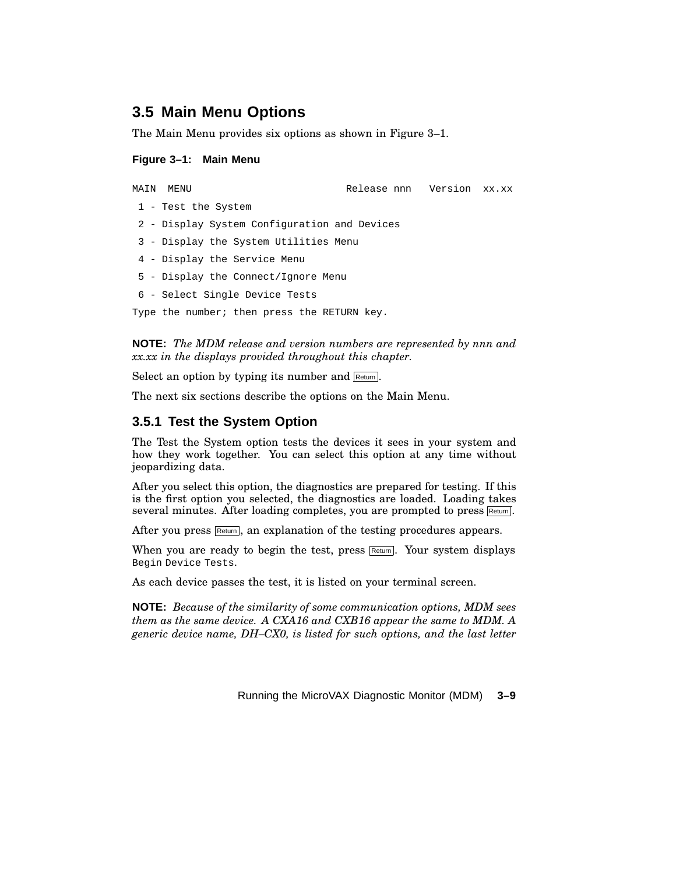# **3.5 Main Menu Options**

The Main Menu provides six options as shown in Figure 3–1.

#### **Figure 3–1: Main Menu**

MAIN MENU Release nnn Version xx.xx - Test the System - Display System Configuration and Devices - Display the System Utilities Menu - Display the Service Menu - Display the Connect/Ignore Menu - Select Single Device Tests Type the number; then press the RETURN key.

**NOTE:** *The MDM release and version numbers are represented by nnn and xx.xx in the displays provided throughout this chapter.*

Select an option by typing its number and  $R_{\text{return}}$ .

The next six sections describe the options on the Main Menu.

#### **3.5.1 Test the System Option**

The Test the System option tests the devices it sees in your system and how they work together. You can select this option at any time without jeopardizing data.

After you select this option, the diagnostics are prepared for testing. If this is the first option you selected, the diagnostics are loaded. Loading takes several minutes. After loading completes, you are prompted to press Return.

After you press  $\overline{\text{Return}}$ , an explanation of the testing procedures appears.

When you are ready to begin the test, press  $R_{\text{return}}$ . Your system displays Begin Device Tests.

As each device passes the test, it is listed on your terminal screen.

**NOTE:** *Because of the similarity of some communication options, MDM sees them as the same device. A CXA16 and CXB16 appear the same to MDM. A generic device name, DH–CX0, is listed for such options, and the last letter*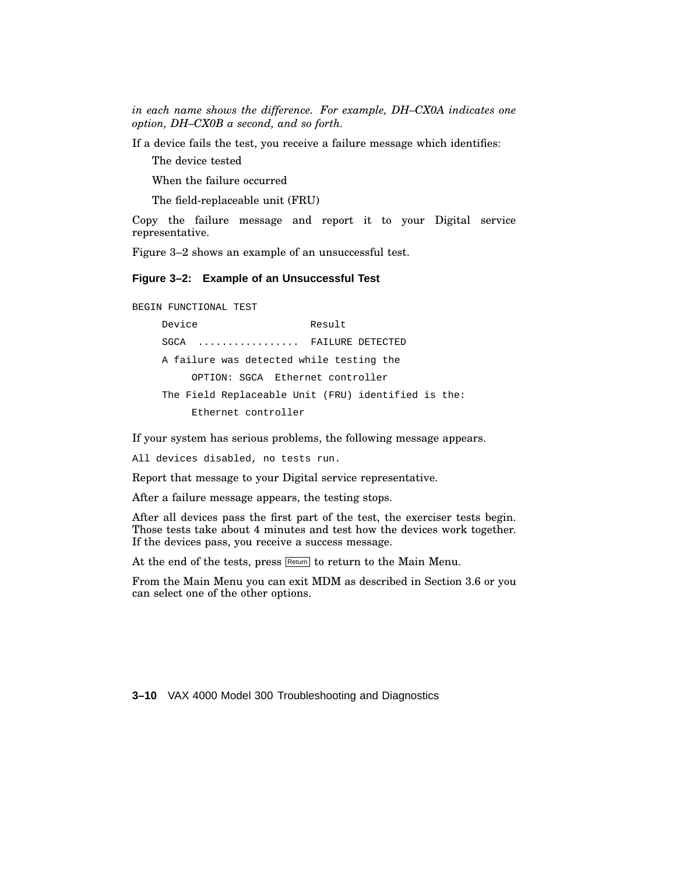*in each name shows the difference. For example, DH–CX0A indicates one option, DH–CX0B a second, and so forth.*

If a device fails the test, you receive a failure message which identifies:

The device tested

When the failure occurred

The field-replaceable unit (FRU)

Copy the failure message and report it to your Digital service representative.

Figure 3–2 shows an example of an unsuccessful test.

#### **Figure 3–2: Example of an Unsuccessful Test**

BEGIN FUNCTIONAL TEST

Device Result SGCA ................ FAILURE DETECTED A failure was detected while testing the OPTION: SGCA Ethernet controller The Field Replaceable Unit (FRU) identified is the: Ethernet controller

If your system has serious problems, the following message appears.

All devices disabled, no tests run.

Report that message to your Digital service representative.

After a failure message appears, the testing stops.

After all devices pass the first part of the test, the exerciser tests begin. Those tests take about 4 minutes and test how the devices work together. If the devices pass, you receive a success message.

At the end of the tests, press Return to the Main Menu.

From the Main Menu you can exit MDM as described in Section 3.6 or you can select one of the other options.

**3–10** VAX 4000 Model 300 Troubleshooting and Diagnostics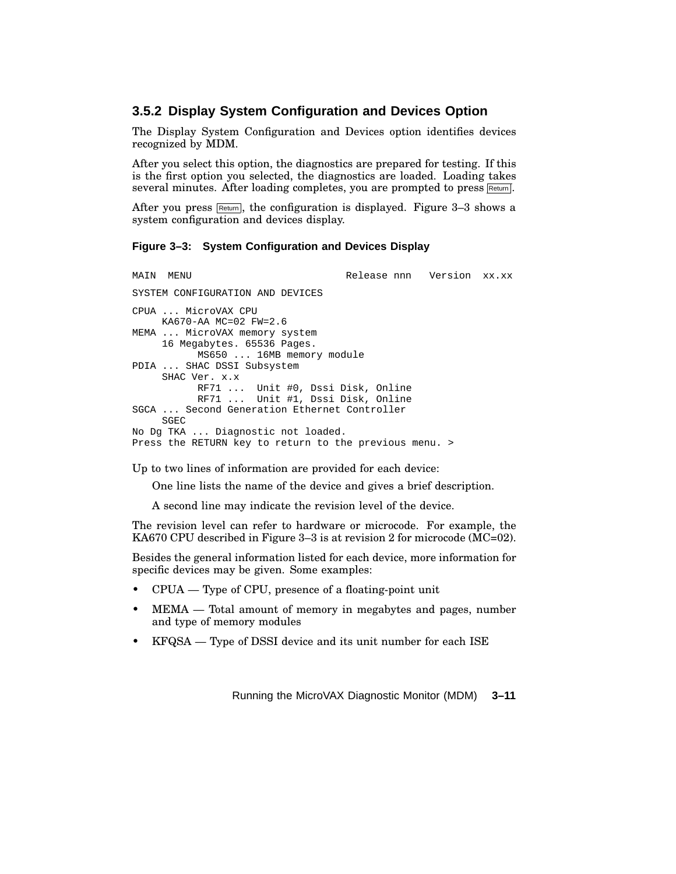#### **3.5.2 Display System Configuration and Devices Option**

The Display System Configuration and Devices option identifies devices recognized by MDM.

After you select this option, the diagnostics are prepared for testing. If this is the first option you selected, the diagnostics are loaded. Loading takes several minutes. After loading completes, you are prompted to press Return.

After you press  $F<sub>etum</sub>$ , the configuration is displayed. Figure 3-3 shows a system configuration and devices display.

#### **Figure 3–3: System Configuration and Devices Display**

MAIN MENU Release nnn Version xx.xx SYSTEM CONFIGURATION AND DEVICES CPUA ... MicroVAX CPU KA670-AA MC=02 FW=2.6 MEMA ... MicroVAX memory system 16 Megabytes. 65536 Pages. MS650 ... 16MB memory module PDIA ... SHAC DSSI Subsystem SHAC Ver. x.x RF71 ... Unit #0, Dssi Disk, Online RF71 ... Unit #1, Dssi Disk, Online SGCA ... Second Generation Ethernet Controller SGEC No Dg TKA ... Diagnostic not loaded. Press the RETURN key to return to the previous menu. >

Up to two lines of information are provided for each device:

One line lists the name of the device and gives a brief description.

A second line may indicate the revision level of the device.

The revision level can refer to hardware or microcode. For example, the KA670 CPU described in Figure 3–3 is at revision 2 for microcode (MC=02).

Besides the general information listed for each device, more information for specific devices may be given. Some examples:

- CPUA Type of CPU, presence of a floating-point unit
- MEMA Total amount of memory in megabytes and pages, number and type of memory modules
- KFQSA Type of DSSI device and its unit number for each ISE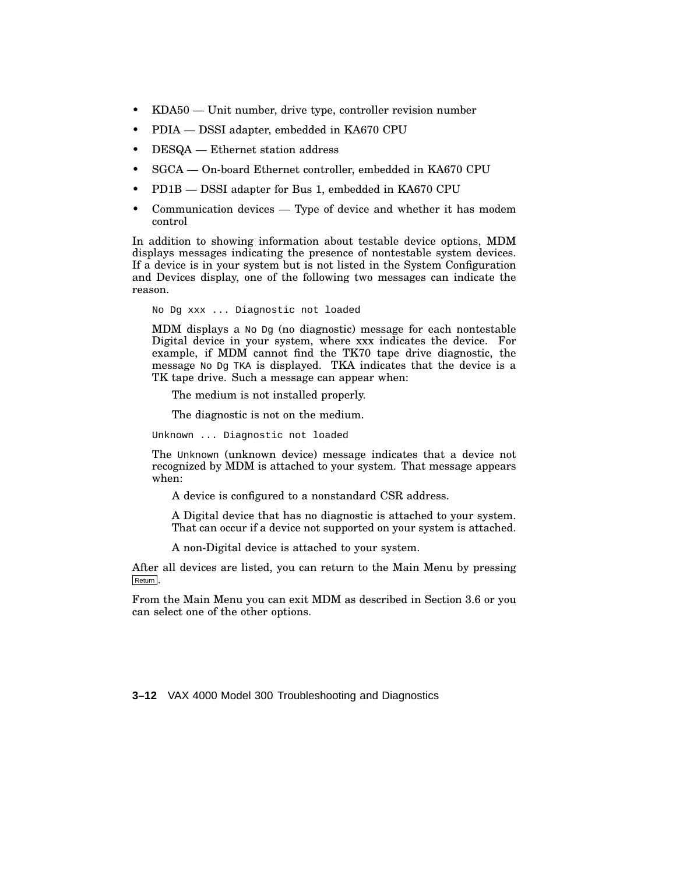- KDA50 Unit number, drive type, controller revision number
- PDIA DSSI adapter, embedded in KA670 CPU
- DESQA Ethernet station address
- SGCA On-board Ethernet controller, embedded in KA670 CPU
- PD1B DSSI adapter for Bus 1, embedded in KA670 CPU
- Communication devices Type of device and whether it has modem control

In addition to showing information about testable device options, MDM displays messages indicating the presence of nontestable system devices. If a device is in your system but is not listed in the System Configuration and Devices display, one of the following two messages can indicate the reason.

No Dg xxx ... Diagnostic not loaded

MDM displays a  $NQ$  Dq (no diagnostic) message for each nontestable Digital device in your system, where xxx indicates the device. For example, if MDM cannot find the TK70 tape drive diagnostic, the message No Dg TKA is displayed. TKA indicates that the device is a TK tape drive. Such a message can appear when:

The medium is not installed properly.

The diagnostic is not on the medium.

Unknown ... Diagnostic not loaded

The Unknown (unknown device) message indicates that a device not recognized by MDM is attached to your system. That message appears when:

A device is configured to a nonstandard CSR address.

A Digital device that has no diagnostic is attached to your system. That can occur if a device not supported on your system is attached.

A non-Digital device is attached to your system.

After all devices are listed, you can return to the Main Menu by pressing Return .

From the Main Menu you can exit MDM as described in Section 3.6 or you can select one of the other options.

**3–12** VAX 4000 Model 300 Troubleshooting and Diagnostics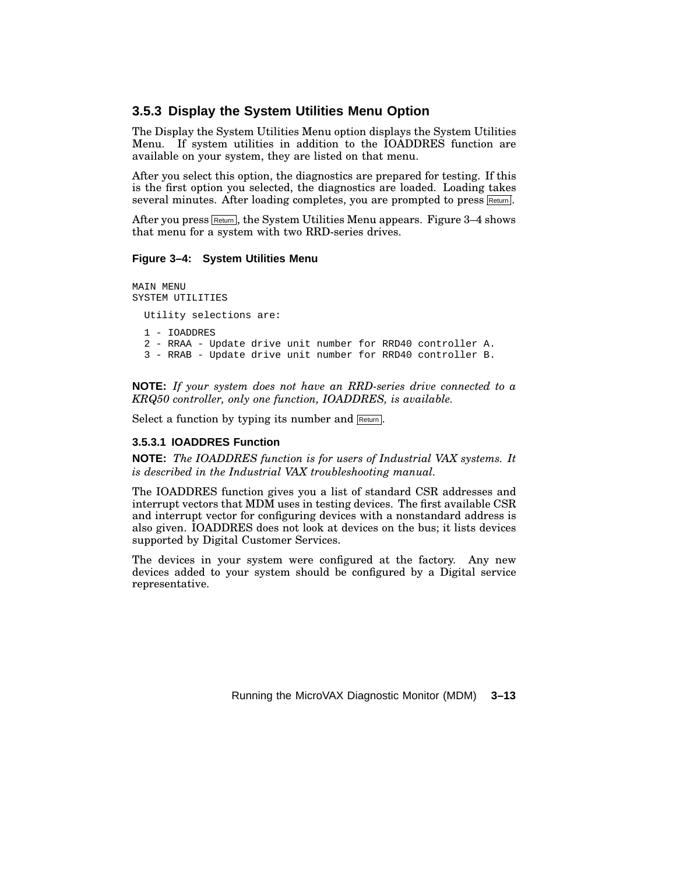#### **3.5.3 Display the System Utilities Menu Option**

The Display the System Utilities Menu option displays the System Utilities Menu. If system utilities in addition to the IOADDRES function are available on your system, they are listed on that menu.

After you select this option, the diagnostics are prepared for testing. If this is the first option you selected, the diagnostics are loaded. Loading takes several minutes. After loading completes, you are prompted to press Return.

After you press  $\overline{\mathsf{Return}}$ , the System Utilities Menu appears. Figure 3–4 shows that menu for a system with two RRD-series drives.

#### **Figure 3–4: System Utilities Menu**

MAIN MENU SYSTEM UTILITIES Utility selections are: 1 - IOADDRES 2 - RRAA - Update drive unit number for RRD40 controller A. 3 - RRAB - Update drive unit number for RRD40 controller B.

**NOTE:** *If your system does not have an RRD-series drive connected to a KRQ50 controller, only one function, IOADDRES, is available.*

Select a function by typing its number and Return.

#### **3.5.3.1 IOADDRES Function**

**NOTE:** *The IOADDRES function is for users of Industrial VAX systems. It is described in the Industrial VAX troubleshooting manual.*

The IOADDRES function gives you a list of standard CSR addresses and interrupt vectors that MDM uses in testing devices. The first available CSR and interrupt vector for configuring devices with a nonstandard address is also given. IOADDRES does not look at devices on the bus; it lists devices supported by Digital Customer Services.

The devices in your system were configured at the factory. Any new devices added to your system should be configured by a Digital service representative.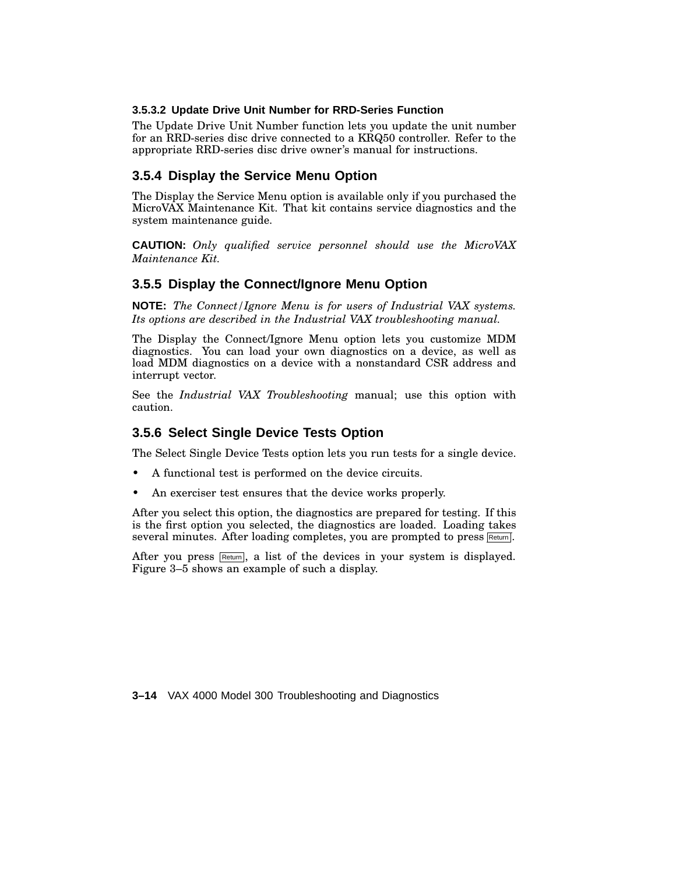#### **3.5.3.2 Update Drive Unit Number for RRD-Series Function**

The Update Drive Unit Number function lets you update the unit number for an RRD-series disc drive connected to a KRQ50 controller. Refer to the appropriate RRD-series disc drive owner's manual for instructions.

### **3.5.4 Display the Service Menu Option**

The Display the Service Menu option is available only if you purchased the MicroVAX Maintenance Kit. That kit contains service diagnostics and the system maintenance guide.

**CAUTION:** *Only qualified service personnel should use the MicroVAX Maintenance Kit.*

### **3.5.5 Display the Connect/Ignore Menu Option**

**NOTE:** *The Connect/Ignore Menu is for users of Industrial VAX systems. Its options are described in the Industrial VAX troubleshooting manual.*

The Display the Connect/Ignore Menu option lets you customize MDM diagnostics. You can load your own diagnostics on a device, as well as load MDM diagnostics on a device with a nonstandard CSR address and interrupt vector.

See the *Industrial VAX Troubleshooting* manual; use this option with caution.

#### **3.5.6 Select Single Device Tests Option**

The Select Single Device Tests option lets you run tests for a single device.

- A functional test is performed on the device circuits.
- An exerciser test ensures that the device works properly.

After you select this option, the diagnostics are prepared for testing. If this is the first option you selected, the diagnostics are loaded. Loading takes several minutes. After loading completes, you are prompted to press Return.

After you press  $Retum$ , a list of the devices in your system is displayed. Figure 3–5 shows an example of such a display.

**3–14** VAX 4000 Model 300 Troubleshooting and Diagnostics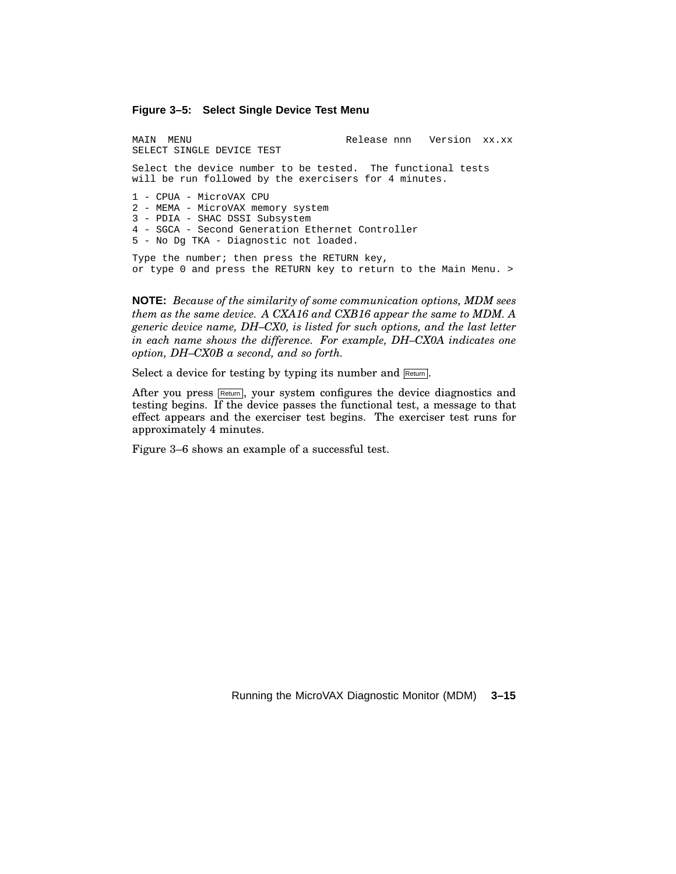**Figure 3–5: Select Single Device Test Menu**

MAIN MENU Release nnn Version xx.xx SELECT SINGLE DEVICE TEST Select the device number to be tested. The functional tests will be run followed by the exercisers for 4 minutes. 1 - CPUA - MicroVAX CPU 2 - MEMA - MicroVAX memory system 3 - PDIA - SHAC DSSI Subsystem 4 - SGCA - Second Generation Ethernet Controller 5 - No Dg TKA - Diagnostic not loaded.

Type the number; then press the RETURN key, or type 0 and press the RETURN key to return to the Main Menu. >

**NOTE:** *Because of the similarity of some communication options, MDM sees them as the same device. A CXA16 and CXB16 appear the same to MDM. A generic device name, DH–CX0, is listed for such options, and the last letter in each name shows the difference. For example, DH–CX0A indicates one option, DH–CX0B a second, and so forth.*

Select a device for testing by typing its number and Return.

After you press  $Retum$ , your system configures the device diagnostics and testing begins. If the device passes the functional test, a message to that effect appears and the exerciser test begins. The exerciser test runs for approximately 4 minutes.

Figure 3–6 shows an example of a successful test.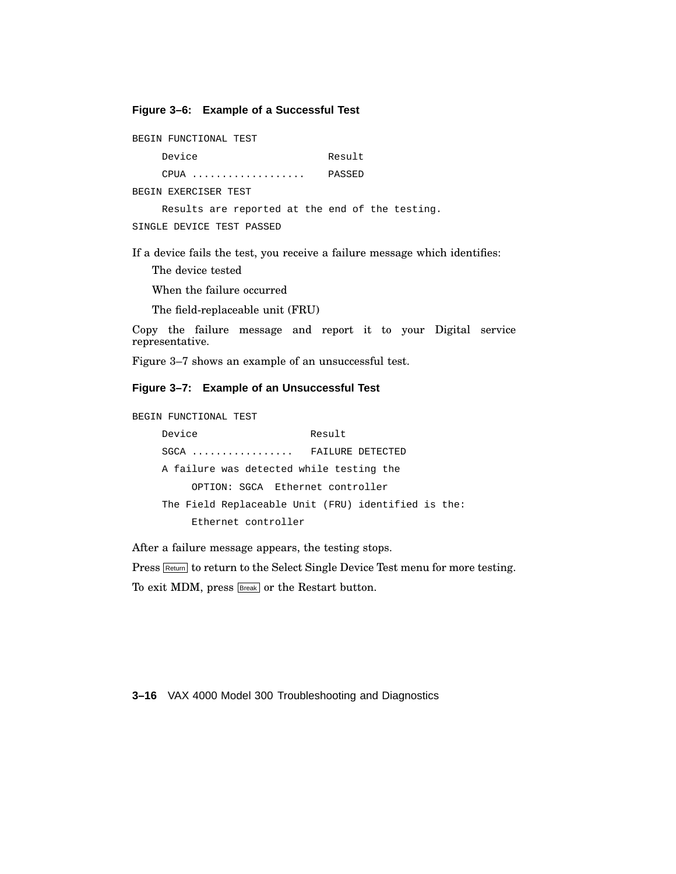#### **Figure 3–6: Example of a Successful Test**

BEGIN FUNCTIONAL TEST Device Result CPUA ................... PASSED BEGIN EXERCISER TEST Results are reported at the end of the testing. SINGLE DEVICE TEST PASSED

If a device fails the test, you receive a failure message which identifies:

The device tested

When the failure occurred

The field-replaceable unit (FRU)

Copy the failure message and report it to your Digital service representative.

Figure 3–7 shows an example of an unsuccessful test.

#### **Figure 3–7: Example of an Unsuccessful Test**

```
BEGIN FUNCTIONAL TEST
```
Device Result SGCA ................ FAILURE DETECTED A failure was detected while testing the OPTION: SGCA Ethernet controller The Field Replaceable Unit (FRU) identified is the: Ethernet controller

After a failure message appears, the testing stops.

Press **Return** to return to the Select Single Device Test menu for more testing.

To exit MDM, press **Break** or the Restart button.

**3–16** VAX 4000 Model 300 Troubleshooting and Diagnostics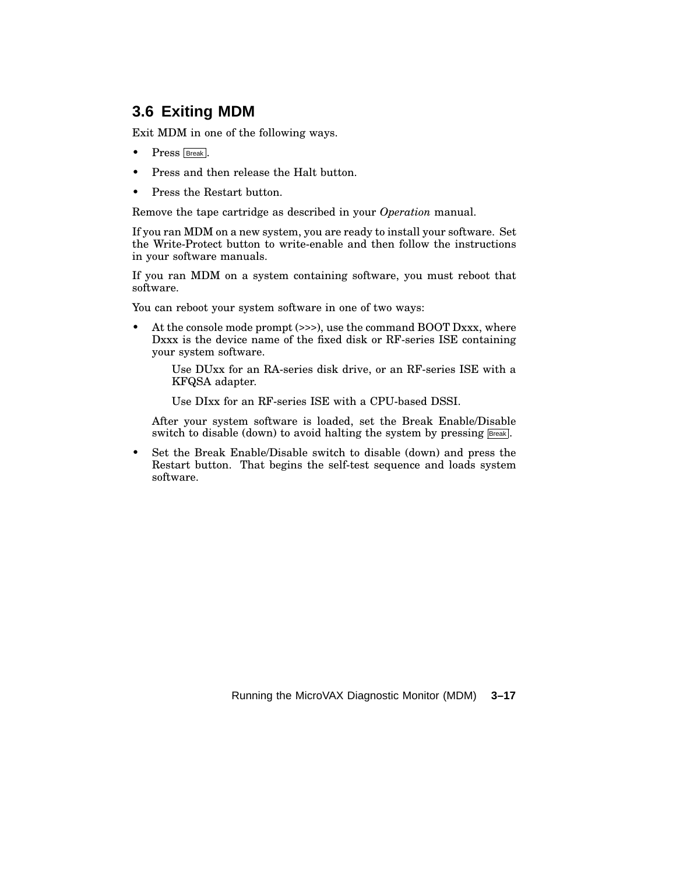# **3.6 Exiting MDM**

Exit MDM in one of the following ways.

- Press **Break**.
- Press and then release the Halt button.
- Press the Restart button.

Remove the tape cartridge as described in your *Operation* manual.

If you ran MDM on a new system, you are ready to install your software. Set the Write-Protect button to write-enable and then follow the instructions in your software manuals.

If you ran MDM on a system containing software, you must reboot that software.

You can reboot your system software in one of two ways:

• At the console mode prompt (>>>), use the command BOOT Dxxx, where Dxxx is the device name of the fixed disk or RF-series ISE containing your system software.

> Use DUxx for an RA-series disk drive, or an RF-series ISE with a KFQSA adapter.

Use DIxx for an RF-series ISE with a CPU-based DSSI.

After your system software is loaded, set the Break Enable/Disable switch to disable (down) to avoid halting the system by pressing **Break**.

• Set the Break Enable/Disable switch to disable (down) and press the Restart button. That begins the self-test sequence and loads system software.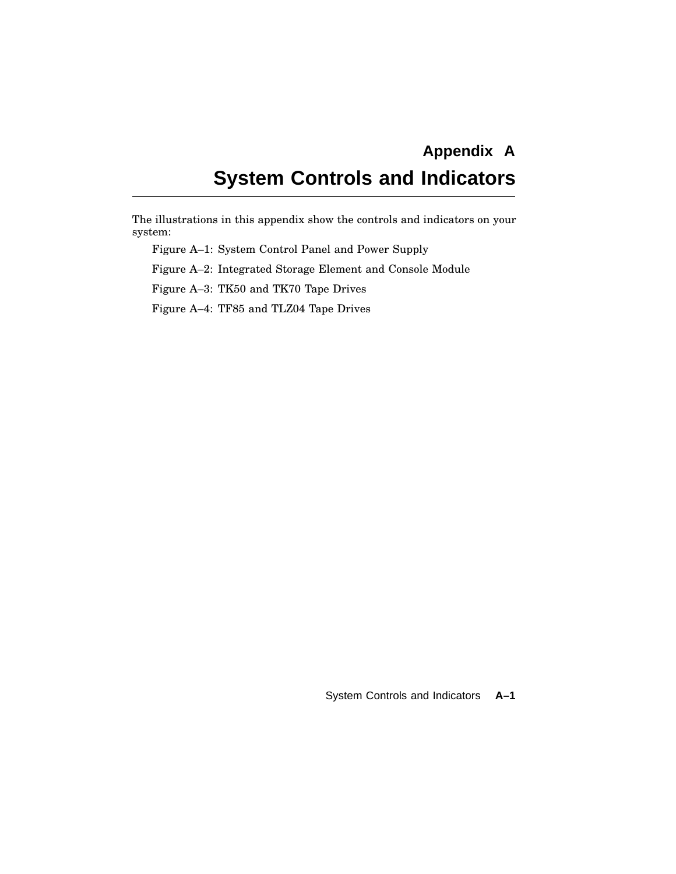# **Appendix A System Controls and Indicators**

The illustrations in this appendix show the controls and indicators on your system:

Figure A–1: System Control Panel and Power Supply

Figure A–2: Integrated Storage Element and Console Module

Figure A–3: TK50 and TK70 Tape Drives

Figure A–4: TF85 and TLZ04 Tape Drives

System Controls and Indicators **A–1**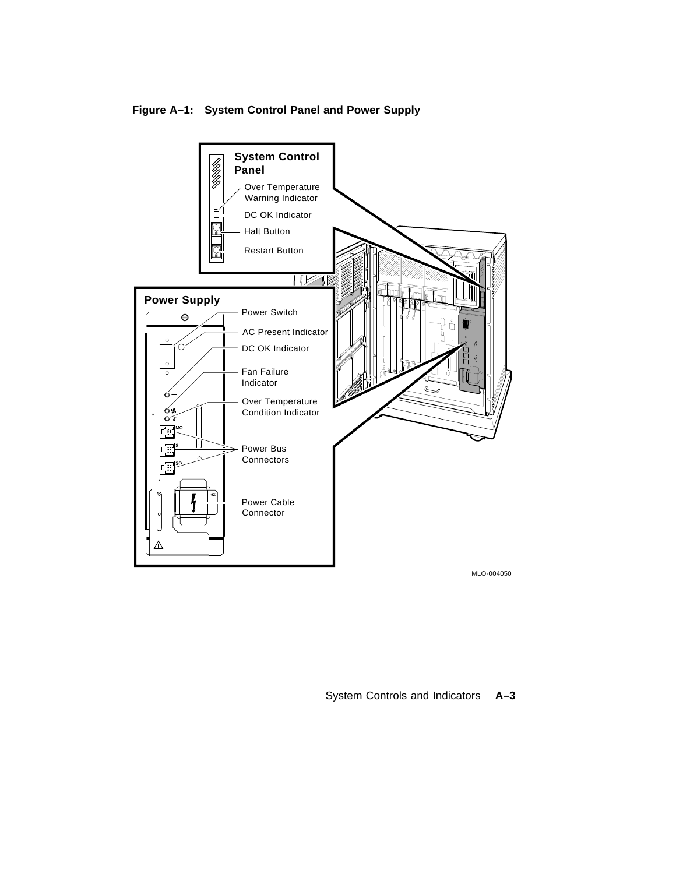**System Control** U)<br>U)<br>|} **Panel** Over Temperature Warning Indicator DC OK Indicator ្គ Halt Button Restart Button  $\overline{\mathbb{R}}$ **Power Supply** Power Switch  $\overline{\Theta}$ AC Present Indicator DC OK Indicator ∩  $\circ$ Fan Failure Indicator Over Temperature Condition Indicator  $\overline{\mathbf{C}}$  $\mathbb{CP}^\infty$  $\lvert \cdot \rvert$ Power Bus Ω **Connectors** ់ព Power Cable Connector Λ MLO-004050

System Controls and Indicators **A–3**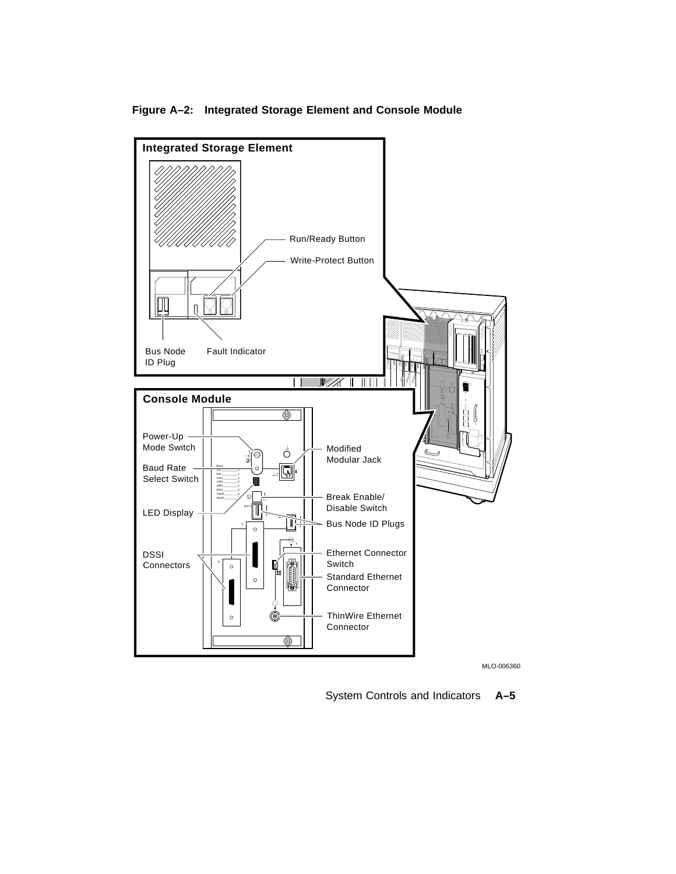

#### **Figure A–2: Integrated Storage Element and Console Module**

MLO-006360

System Controls and Indicators **A–5**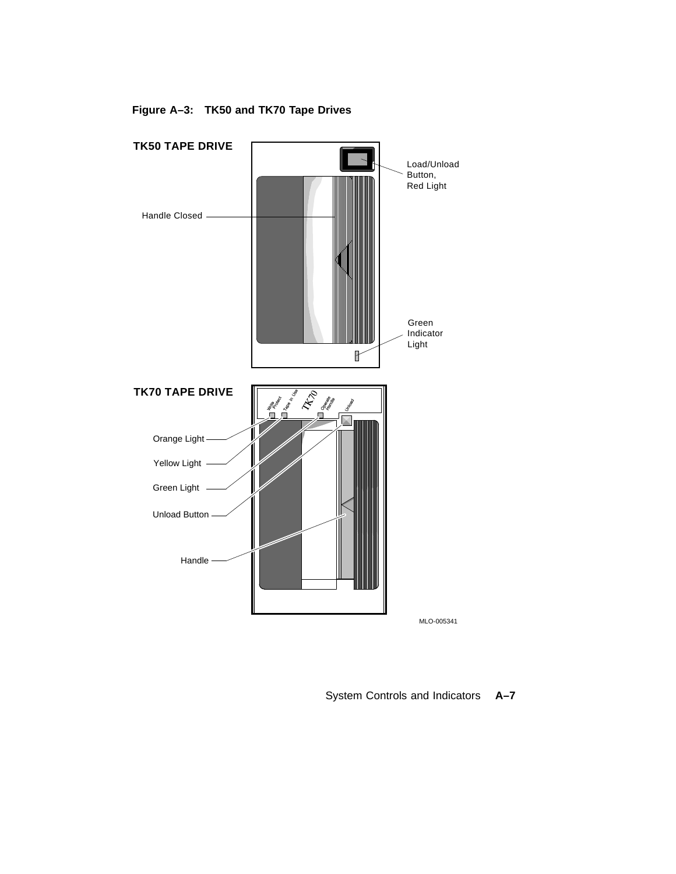

**Figure A–3: TK50 and TK70 Tape Drives**

System Controls and Indicators **A–7**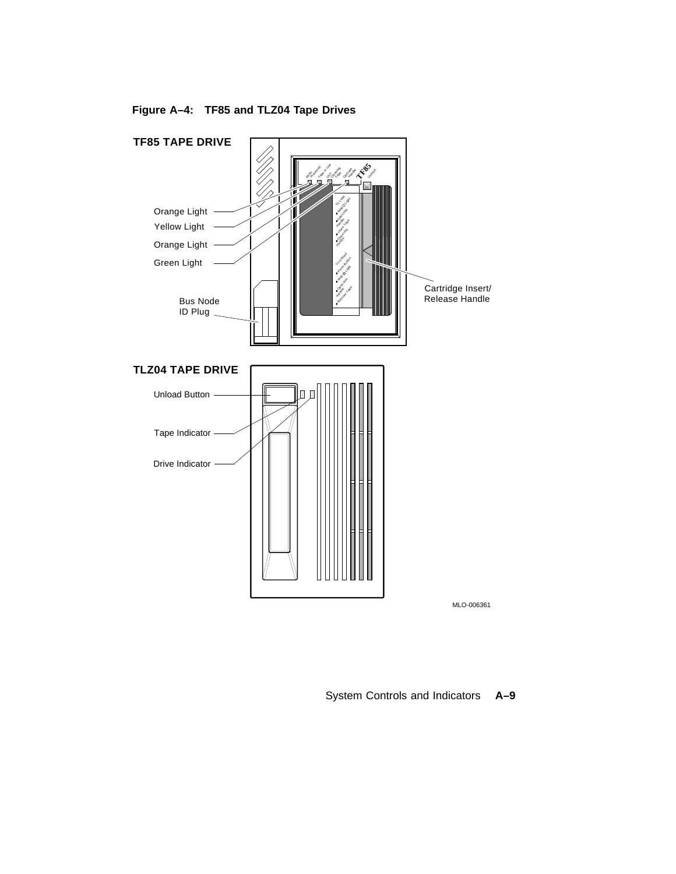

**Figure A–4: TF85 and TLZ04 Tape Drives**

System Controls and Indicators **A–9**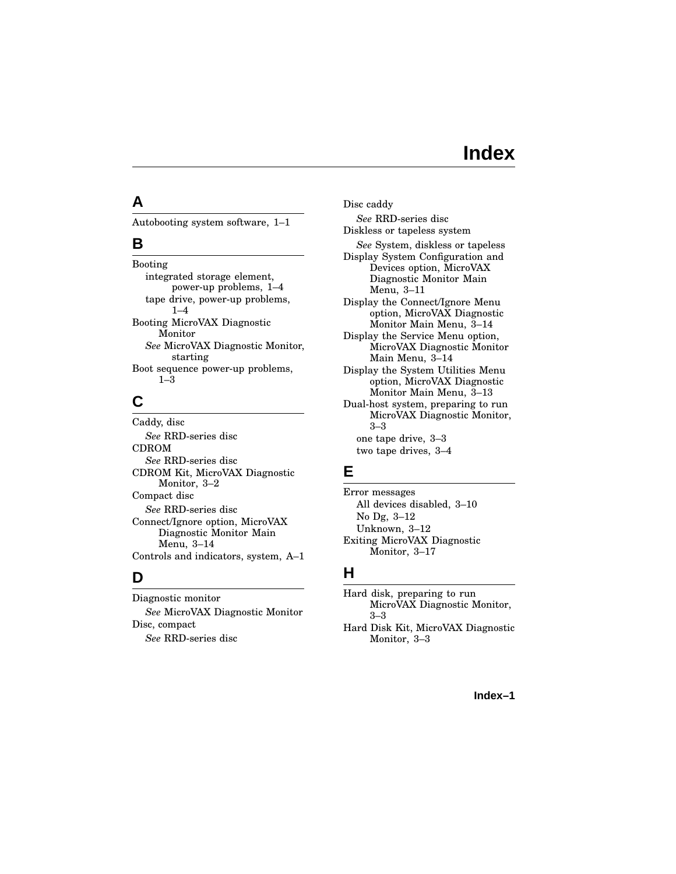# **Index**

### **A**

Autobooting system software, 1–1

#### **B**

Booting integrated storage element, power-up problems, 1–4 tape drive, power-up problems, 1–4 Booting MicroVAX Diagnostic Monitor *See* MicroVAX Diagnostic Monitor, starting Boot sequence power-up problems, 1–3

# **C**

Caddy, disc *See* RRD-series disc CDROM *See* RRD-series disc CDROM Kit, MicroVAX Diagnostic Monitor, 3–2 Compact disc *See* RRD-series disc Connect/Ignore option, MicroVAX Diagnostic Monitor Main Menu, 3–14 Controls and indicators, system, A–1

## **D**

Diagnostic monitor *See* MicroVAX Diagnostic Monitor Disc, compact *See* RRD-series disc

Disc caddy *See* RRD-series disc Diskless or tapeless system *See* System, diskless or tapeless Display System Configuration and Devices option, MicroVAX Diagnostic Monitor Main Menu, 3–11 Display the Connect/Ignore Menu option, MicroVAX Diagnostic Monitor Main Menu, 3–14 Display the Service Menu option, MicroVAX Diagnostic Monitor Main Menu, 3–14 Display the System Utilities Menu option, MicroVAX Diagnostic Monitor Main Menu, 3–13 Dual-host system, preparing to run

MicroVAX Diagnostic Monitor, 3–3 one tape drive, 3–3 two tape drives, 3–4

### **E**

Error messages All devices disabled, 3–10 No Dg, 3–12 Unknown, 3–12 Exiting MicroVAX Diagnostic Monitor, 3–17

## **H**

Hard disk, preparing to run MicroVAX Diagnostic Monitor, 3–3

Hard Disk Kit, MicroVAX Diagnostic Monitor, 3–3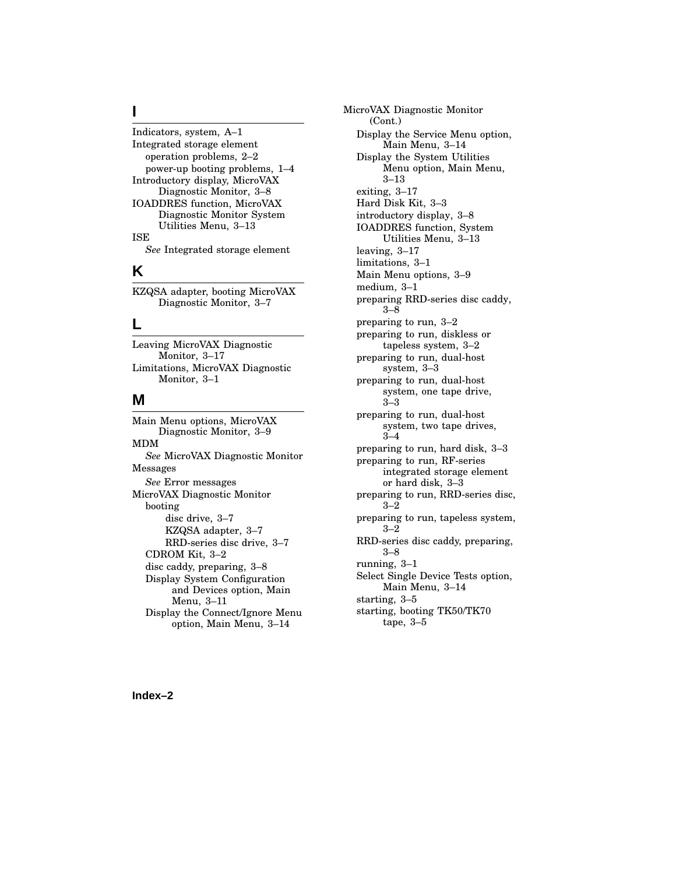#### **I**

Indicators, system, A–1 Integrated storage element operation problems, 2–2 power-up booting problems, 1–4 Introductory display, MicroVAX Diagnostic Monitor, 3–8 IOADDRES function, MicroVAX Diagnostic Monitor System Utilities Menu, 3–13 ISE *See* Integrated storage element

#### **K**

KZQSA adapter, booting MicroVAX Diagnostic Monitor, 3–7

#### **L**

Leaving MicroVAX Diagnostic Monitor, 3–17 Limitations, MicroVAX Diagnostic Monitor, 3–1

#### **M**

Main Menu options, MicroVAX Diagnostic Monitor, 3–9 MDM *See* MicroVAX Diagnostic Monitor Messages *See* Error messages MicroVAX Diagnostic Monitor booting disc drive, 3–7 KZQSA adapter, 3–7 RRD-series disc drive, 3–7 CDROM Kit, 3–2 disc caddy, preparing, 3–8 Display System Configuration and Devices option, Main Menu, 3–11 Display the Connect/Ignore Menu option, Main Menu, 3–14

MicroVAX Diagnostic Monitor (Cont.) Display the Service Menu option, Main Menu, 3–14 Display the System Utilities Menu option, Main Menu, 3–13 exiting, 3–17 Hard Disk Kit, 3–3 introductory display, 3–8 IOADDRES function, System Utilities Menu, 3–13 leaving, 3–17 limitations, 3–1 Main Menu options, 3–9 medium, 3–1 preparing RRD-series disc caddy, 3–8 preparing to run, 3–2 preparing to run, diskless or tapeless system, 3–2 preparing to run, dual-host system, 3–3 preparing to run, dual-host system, one tape drive, 3–3 preparing to run, dual-host system, two tape drives, 3–4 preparing to run, hard disk, 3–3 preparing to run, RF-series integrated storage element or hard disk, 3–3 preparing to run, RRD-series disc,  $3 - 2$ preparing to run, tapeless system,  $3 - 2$ RRD-series disc caddy, preparing, 3–8 running, 3–1 Select Single Device Tests option, Main Menu, 3–14 starting, 3–5 starting, booting TK50/TK70 tape, 3–5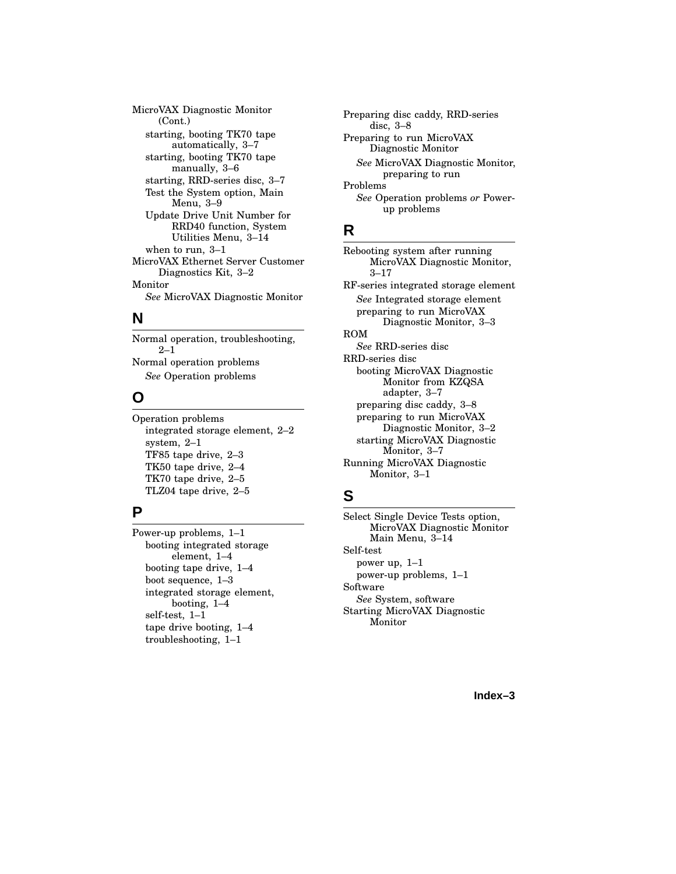MicroVAX Diagnostic Monitor (Cont.) starting, booting TK70 tape automatically, 3–7 starting, booting TK70 tape manually, 3–6 starting, RRD-series disc, 3–7 Test the System option, Main Menu, 3–9 Update Drive Unit Number for RRD40 function, System Utilities Menu, 3–14 when to run, 3–1 MicroVAX Ethernet Server Customer Diagnostics Kit, 3–2 Monitor *See* MicroVAX Diagnostic Monitor

#### **N**

Normal operation, troubleshooting, 2–1 Normal operation problems *See* Operation problems

#### **O**

Operation problems integrated storage element, 2–2 system, 2–1 TF85 tape drive, 2–3 TK50 tape drive, 2–4 TK70 tape drive, 2–5 TLZ04 tape drive, 2–5

## **P**

Power-up problems, 1–1 booting integrated storage element, 1–4 booting tape drive, 1–4 boot sequence, 1–3 integrated storage element, booting, 1–4 self-test, 1–1 tape drive booting, 1–4 troubleshooting, 1–1

Preparing disc caddy, RRD-series disc, 3–8 Preparing to run MicroVAX Diagnostic Monitor *See* MicroVAX Diagnostic Monitor, preparing to run Problems *See* Operation problems *or* Powerup problems

### **R**

Rebooting system after running MicroVAX Diagnostic Monitor, 3–17 RF-series integrated storage element *See* Integrated storage element preparing to run MicroVAX Diagnostic Monitor, 3–3 ROM *See* RRD-series disc RRD-series disc booting MicroVAX Diagnostic Monitor from KZQSA adapter, 3–7 preparing disc caddy, 3–8 preparing to run MicroVAX Diagnostic Monitor, 3–2 starting MicroVAX Diagnostic Monitor, 3–7 Running MicroVAX Diagnostic Monitor, 3–1

## **S**

Select Single Device Tests option, MicroVAX Diagnostic Monitor Main Menu, 3–14 Self-test power up, 1–1 power-up problems, 1–1 Software *See* System, software Starting MicroVAX Diagnostic Monitor